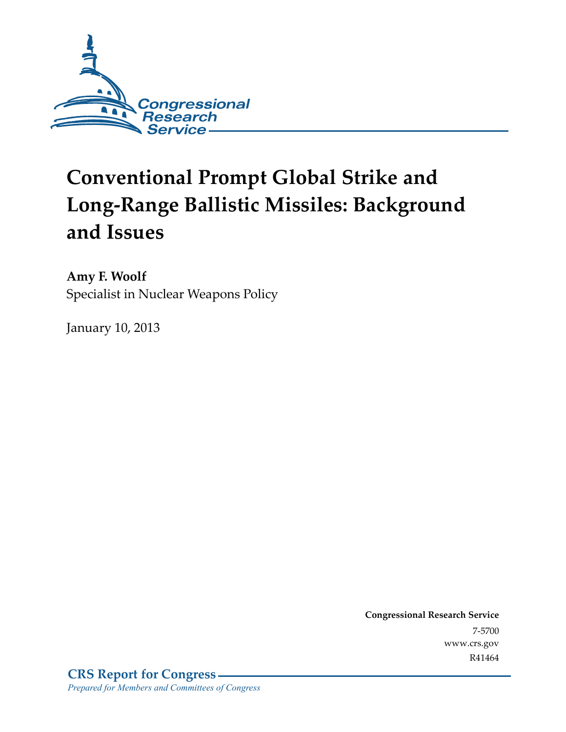

# **Conventional Prompt Global Strike and Long-Range Ballistic Missiles: Background and Issues**

**Amy F. Woolf**  Specialist in Nuclear Weapons Policy

January 10, 2013

**Congressional Research Service**  7-5700 www.crs.gov R41464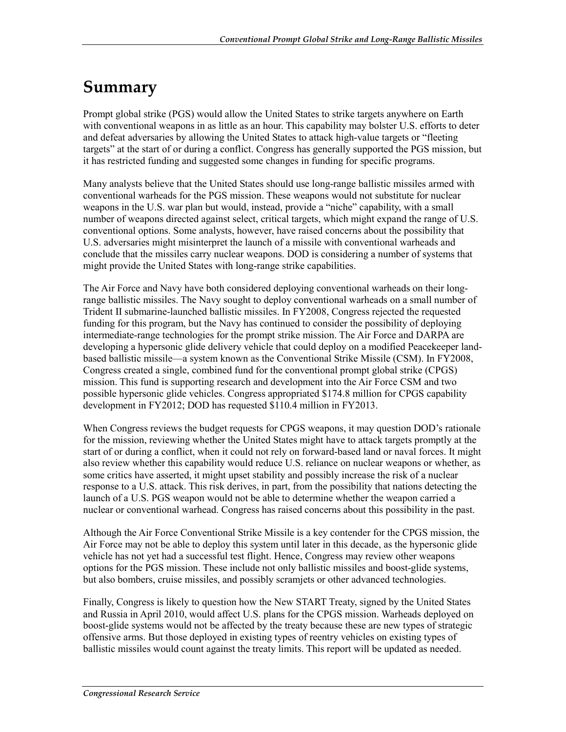## **Summary**

Prompt global strike (PGS) would allow the United States to strike targets anywhere on Earth with conventional weapons in as little as an hour. This capability may bolster U.S. efforts to deter and defeat adversaries by allowing the United States to attack high-value targets or "fleeting targets" at the start of or during a conflict. Congress has generally supported the PGS mission, but it has restricted funding and suggested some changes in funding for specific programs.

Many analysts believe that the United States should use long-range ballistic missiles armed with conventional warheads for the PGS mission. These weapons would not substitute for nuclear weapons in the U.S. war plan but would, instead, provide a "niche" capability, with a small number of weapons directed against select, critical targets, which might expand the range of U.S. conventional options. Some analysts, however, have raised concerns about the possibility that U.S. adversaries might misinterpret the launch of a missile with conventional warheads and conclude that the missiles carry nuclear weapons. DOD is considering a number of systems that might provide the United States with long-range strike capabilities.

The Air Force and Navy have both considered deploying conventional warheads on their longrange ballistic missiles. The Navy sought to deploy conventional warheads on a small number of Trident II submarine-launched ballistic missiles. In FY2008, Congress rejected the requested funding for this program, but the Navy has continued to consider the possibility of deploying intermediate-range technologies for the prompt strike mission. The Air Force and DARPA are developing a hypersonic glide delivery vehicle that could deploy on a modified Peacekeeper landbased ballistic missile—a system known as the Conventional Strike Missile (CSM). In FY2008, Congress created a single, combined fund for the conventional prompt global strike (CPGS) mission. This fund is supporting research and development into the Air Force CSM and two possible hypersonic glide vehicles. Congress appropriated \$174.8 million for CPGS capability development in FY2012; DOD has requested \$110.4 million in FY2013.

When Congress reviews the budget requests for CPGS weapons, it may question DOD's rationale for the mission, reviewing whether the United States might have to attack targets promptly at the start of or during a conflict, when it could not rely on forward-based land or naval forces. It might also review whether this capability would reduce U.S. reliance on nuclear weapons or whether, as some critics have asserted, it might upset stability and possibly increase the risk of a nuclear response to a U.S. attack. This risk derives, in part, from the possibility that nations detecting the launch of a U.S. PGS weapon would not be able to determine whether the weapon carried a nuclear or conventional warhead. Congress has raised concerns about this possibility in the past.

Although the Air Force Conventional Strike Missile is a key contender for the CPGS mission, the Air Force may not be able to deploy this system until later in this decade, as the hypersonic glide vehicle has not yet had a successful test flight. Hence, Congress may review other weapons options for the PGS mission. These include not only ballistic missiles and boost-glide systems, but also bombers, cruise missiles, and possibly scramjets or other advanced technologies.

Finally, Congress is likely to question how the New START Treaty, signed by the United States and Russia in April 2010, would affect U.S. plans for the CPGS mission. Warheads deployed on boost-glide systems would not be affected by the treaty because these are new types of strategic offensive arms. But those deployed in existing types of reentry vehicles on existing types of ballistic missiles would count against the treaty limits. This report will be updated as needed.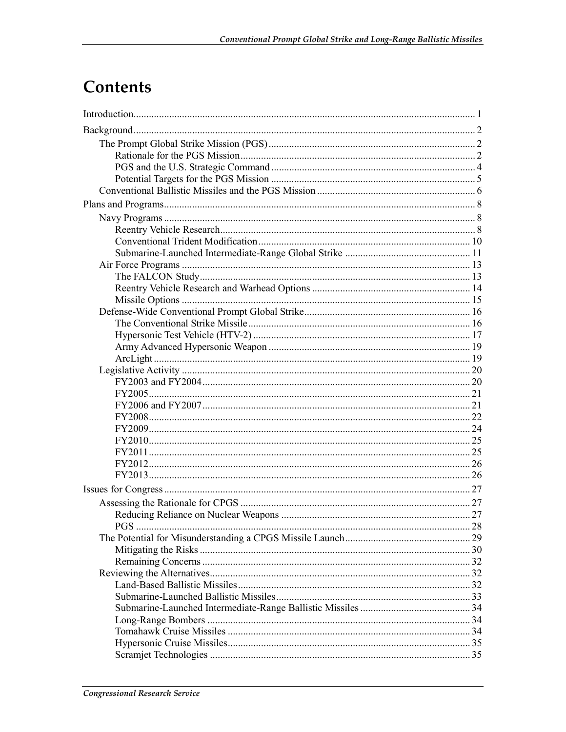## Contents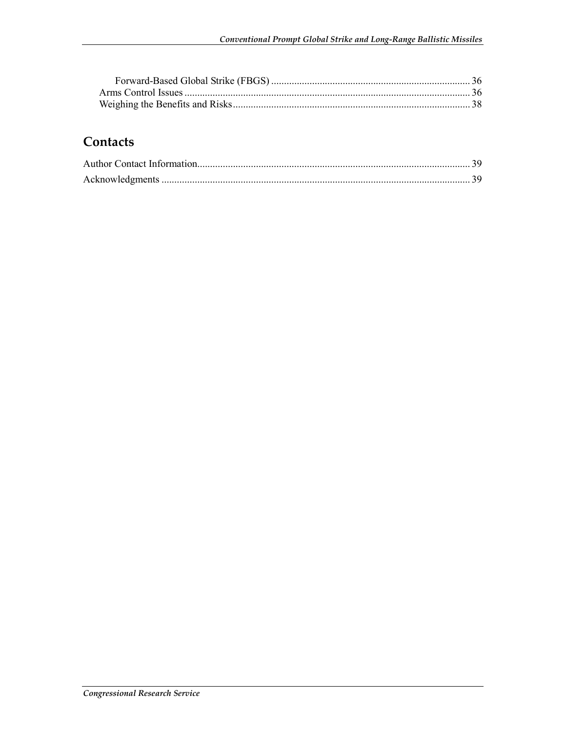## Contacts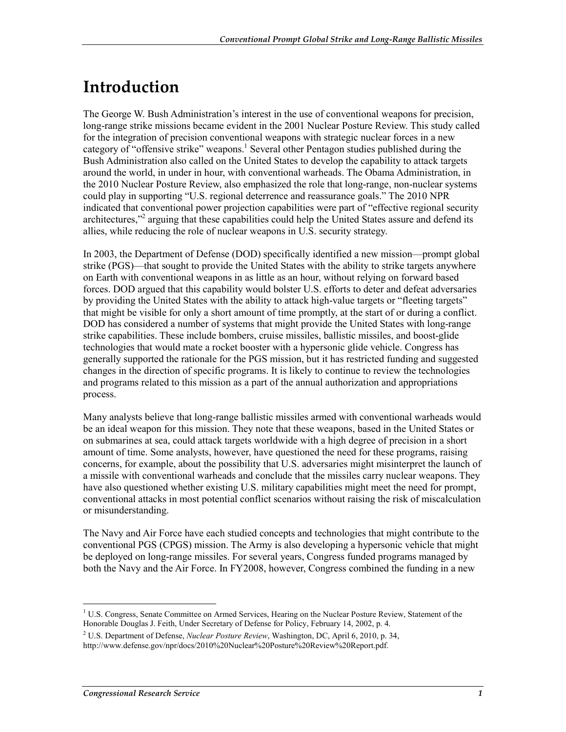## **Introduction**

The George W. Bush Administration's interest in the use of conventional weapons for precision, long-range strike missions became evident in the 2001 Nuclear Posture Review. This study called for the integration of precision conventional weapons with strategic nuclear forces in a new category of "offensive strike" weapons.<sup>1</sup> Several other Pentagon studies published during the Bush Administration also called on the United States to develop the capability to attack targets around the world, in under in hour, with conventional warheads. The Obama Administration, in the 2010 Nuclear Posture Review, also emphasized the role that long-range, non-nuclear systems could play in supporting "U.S. regional deterrence and reassurance goals." The 2010 NPR indicated that conventional power projection capabilities were part of "effective regional security architectures,"<sup>2</sup> arguing that these capabilities could help the United States assure and defend its allies, while reducing the role of nuclear weapons in U.S. security strategy.

In 2003, the Department of Defense (DOD) specifically identified a new mission—prompt global strike (PGS)—that sought to provide the United States with the ability to strike targets anywhere on Earth with conventional weapons in as little as an hour, without relying on forward based forces. DOD argued that this capability would bolster U.S. efforts to deter and defeat adversaries by providing the United States with the ability to attack high-value targets or "fleeting targets" that might be visible for only a short amount of time promptly, at the start of or during a conflict. DOD has considered a number of systems that might provide the United States with long-range strike capabilities. These include bombers, cruise missiles, ballistic missiles, and boost-glide technologies that would mate a rocket booster with a hypersonic glide vehicle. Congress has generally supported the rationale for the PGS mission, but it has restricted funding and suggested changes in the direction of specific programs. It is likely to continue to review the technologies and programs related to this mission as a part of the annual authorization and appropriations process.

Many analysts believe that long-range ballistic missiles armed with conventional warheads would be an ideal weapon for this mission. They note that these weapons, based in the United States or on submarines at sea, could attack targets worldwide with a high degree of precision in a short amount of time. Some analysts, however, have questioned the need for these programs, raising concerns, for example, about the possibility that U.S. adversaries might misinterpret the launch of a missile with conventional warheads and conclude that the missiles carry nuclear weapons. They have also questioned whether existing U.S. military capabilities might meet the need for prompt, conventional attacks in most potential conflict scenarios without raising the risk of miscalculation or misunderstanding.

The Navy and Air Force have each studied concepts and technologies that might contribute to the conventional PGS (CPGS) mission. The Army is also developing a hypersonic vehicle that might be deployed on long-range missiles. For several years, Congress funded programs managed by both the Navy and the Air Force. In FY2008, however, Congress combined the funding in a new

<sup>1</sup> <sup>1</sup> U.S. Congress, Senate Committee on Armed Services, Hearing on the Nuclear Posture Review, Statement of the Honorable Douglas J. Feith, Under Secretary of Defense for Policy, February 14, 2002, p. 4.

<sup>2</sup> U.S. Department of Defense, *Nuclear Posture Review*, Washington, DC, April 6, 2010, p. 34, http://www.defense.gov/npr/docs/2010%20Nuclear%20Posture%20Review%20Report.pdf.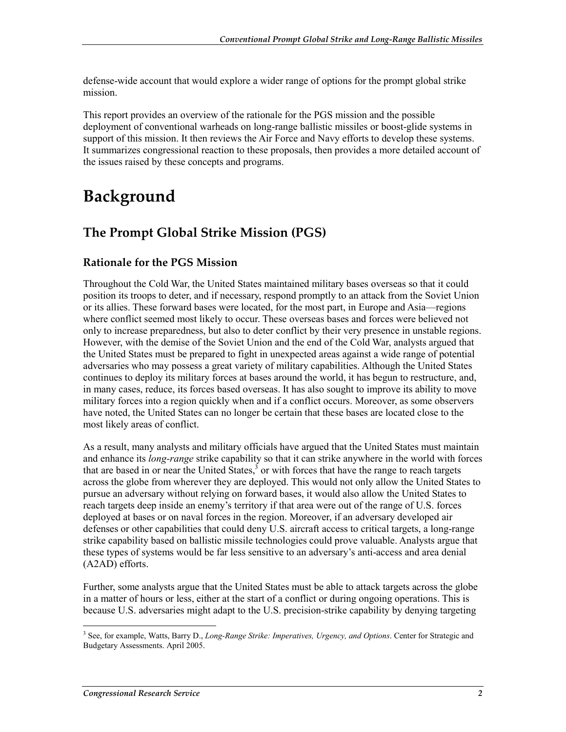defense-wide account that would explore a wider range of options for the prompt global strike mission.

This report provides an overview of the rationale for the PGS mission and the possible deployment of conventional warheads on long-range ballistic missiles or boost-glide systems in support of this mission. It then reviews the Air Force and Navy efforts to develop these systems. It summarizes congressional reaction to these proposals, then provides a more detailed account of the issues raised by these concepts and programs.

## **Background**

## **The Prompt Global Strike Mission (PGS)**

#### **Rationale for the PGS Mission**

Throughout the Cold War, the United States maintained military bases overseas so that it could position its troops to deter, and if necessary, respond promptly to an attack from the Soviet Union or its allies. These forward bases were located, for the most part, in Europe and Asia—regions where conflict seemed most likely to occur. These overseas bases and forces were believed not only to increase preparedness, but also to deter conflict by their very presence in unstable regions. However, with the demise of the Soviet Union and the end of the Cold War, analysts argued that the United States must be prepared to fight in unexpected areas against a wide range of potential adversaries who may possess a great variety of military capabilities. Although the United States continues to deploy its military forces at bases around the world, it has begun to restructure, and, in many cases, reduce, its forces based overseas. It has also sought to improve its ability to move military forces into a region quickly when and if a conflict occurs. Moreover, as some observers have noted, the United States can no longer be certain that these bases are located close to the most likely areas of conflict.

As a result, many analysts and military officials have argued that the United States must maintain and enhance its *long-range* strike capability so that it can strike anywhere in the world with forces that are based in or near the United States, $\frac{3}{5}$  or with forces that have the range to reach targets across the globe from wherever they are deployed. This would not only allow the United States to pursue an adversary without relying on forward bases, it would also allow the United States to reach targets deep inside an enemy's territory if that area were out of the range of U.S. forces deployed at bases or on naval forces in the region. Moreover, if an adversary developed air defenses or other capabilities that could deny U.S. aircraft access to critical targets, a long-range strike capability based on ballistic missile technologies could prove valuable. Analysts argue that these types of systems would be far less sensitive to an adversary's anti-access and area denial (A2AD) efforts.

Further, some analysts argue that the United States must be able to attack targets across the globe in a matter of hours or less, either at the start of a conflict or during ongoing operations. This is because U.S. adversaries might adapt to the U.S. precision-strike capability by denying targeting

 3 See, for example, Watts, Barry D., *Long-Range Strike: Imperatives, Urgency, and Options*. Center for Strategic and Budgetary Assessments. April 2005.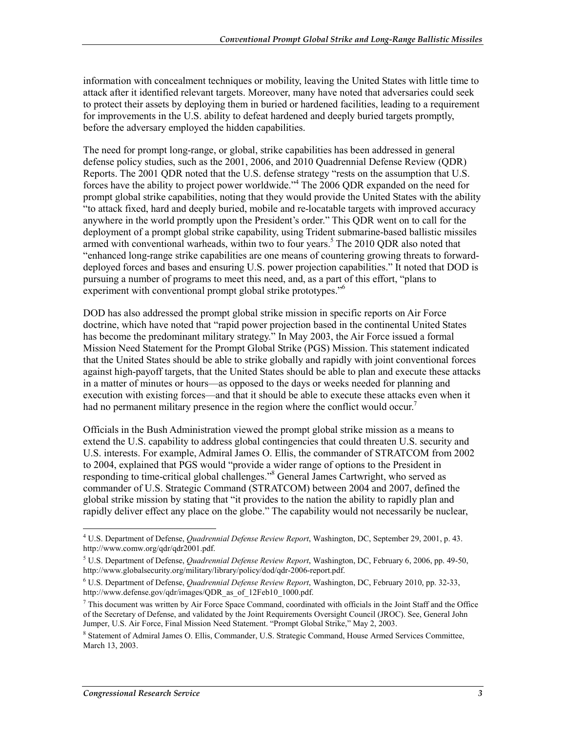information with concealment techniques or mobility, leaving the United States with little time to attack after it identified relevant targets. Moreover, many have noted that adversaries could seek to protect their assets by deploying them in buried or hardened facilities, leading to a requirement for improvements in the U.S. ability to defeat hardened and deeply buried targets promptly, before the adversary employed the hidden capabilities.

The need for prompt long-range, or global, strike capabilities has been addressed in general defense policy studies, such as the 2001, 2006, and 2010 Quadrennial Defense Review (QDR) Reports. The 2001 QDR noted that the U.S. defense strategy "rests on the assumption that U.S. forces have the ability to project power worldwide."4 The 2006 QDR expanded on the need for prompt global strike capabilities, noting that they would provide the United States with the ability "to attack fixed, hard and deeply buried, mobile and re-locatable targets with improved accuracy anywhere in the world promptly upon the President's order." This QDR went on to call for the deployment of a prompt global strike capability, using Trident submarine-based ballistic missiles armed with conventional warheads, within two to four years.<sup>5</sup> The 2010 QDR also noted that "enhanced long-range strike capabilities are one means of countering growing threats to forwarddeployed forces and bases and ensuring U.S. power projection capabilities." It noted that DOD is pursuing a number of programs to meet this need, and, as a part of this effort, "plans to experiment with conventional prompt global strike prototypes."<sup>6</sup>

DOD has also addressed the prompt global strike mission in specific reports on Air Force doctrine, which have noted that "rapid power projection based in the continental United States has become the predominant military strategy." In May 2003, the Air Force issued a formal Mission Need Statement for the Prompt Global Strike (PGS) Mission. This statement indicated that the United States should be able to strike globally and rapidly with joint conventional forces against high-payoff targets, that the United States should be able to plan and execute these attacks in a matter of minutes or hours—as opposed to the days or weeks needed for planning and execution with existing forces—and that it should be able to execute these attacks even when it had no permanent military presence in the region where the conflict would occur.<sup>7</sup>

Officials in the Bush Administration viewed the prompt global strike mission as a means to extend the U.S. capability to address global contingencies that could threaten U.S. security and U.S. interests. For example, Admiral James O. Ellis, the commander of STRATCOM from 2002 to 2004, explained that PGS would "provide a wider range of options to the President in responding to time-critical global challenges."8 General James Cartwright, who served as commander of U.S. Strategic Command (STRATCOM) between 2004 and 2007, defined the global strike mission by stating that "it provides to the nation the ability to rapidly plan and rapidly deliver effect any place on the globe." The capability would not necessarily be nuclear,

<sup>&</sup>lt;u>.</u> 4 U.S. Department of Defense, *Quadrennial Defense Review Report*, Washington, DC, September 29, 2001, p. 43. http://www.comw.org/qdr/qdr2001.pdf.

<sup>5</sup> U.S. Department of Defense, *Quadrennial Defense Review Report*, Washington, DC, February 6, 2006, pp. 49-50, http://www.globalsecurity.org/military/library/policy/dod/qdr-2006-report.pdf.

<sup>6</sup> U.S. Department of Defense, *Quadrennial Defense Review Report*, Washington, DC, February 2010, pp. 32-33, http://www.defense.gov/qdr/images/QDR\_as\_of\_12Feb10\_1000.pdf.

 $<sup>7</sup>$  This document was written by Air Force Space Command, coordinated with officials in the Joint Staff and the Office</sup> of the Secretary of Defense, and validated by the Joint Requirements Oversight Council (JROC). See, General John Jumper, U.S. Air Force, Final Mission Need Statement. "Prompt Global Strike," May 2, 2003.

<sup>&</sup>lt;sup>8</sup> Statement of Admiral James O. Ellis, Commander, U.S. Strategic Command, House Armed Services Committee, March 13, 2003.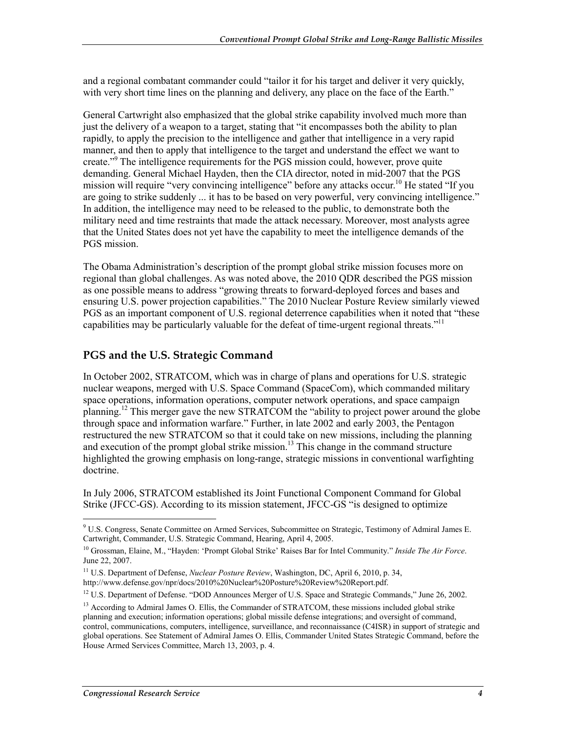and a regional combatant commander could "tailor it for his target and deliver it very quickly, with very short time lines on the planning and delivery, any place on the face of the Earth."

General Cartwright also emphasized that the global strike capability involved much more than just the delivery of a weapon to a target, stating that "it encompasses both the ability to plan rapidly, to apply the precision to the intelligence and gather that intelligence in a very rapid manner, and then to apply that intelligence to the target and understand the effect we want to create."<sup>9</sup> The intelligence requirements for the PGS mission could, however, prove quite demanding. General Michael Hayden, then the CIA director, noted in mid-2007 that the PGS mission will require "very convincing intelligence" before any attacks occur.<sup>10</sup> He stated "If you are going to strike suddenly ... it has to be based on very powerful, very convincing intelligence." In addition, the intelligence may need to be released to the public, to demonstrate both the military need and time restraints that made the attack necessary. Moreover, most analysts agree that the United States does not yet have the capability to meet the intelligence demands of the PGS mission.

The Obama Administration's description of the prompt global strike mission focuses more on regional than global challenges. As was noted above, the 2010 QDR described the PGS mission as one possible means to address "growing threats to forward-deployed forces and bases and ensuring U.S. power projection capabilities." The 2010 Nuclear Posture Review similarly viewed PGS as an important component of U.S. regional deterrence capabilities when it noted that "these capabilities may be particularly valuable for the defeat of time-urgent regional threats."<sup>11</sup>

#### **PGS and the U.S. Strategic Command**

In October 2002, STRATCOM, which was in charge of plans and operations for U.S. strategic nuclear weapons, merged with U.S. Space Command (SpaceCom), which commanded military space operations, information operations, computer network operations, and space campaign planning.<sup>12</sup> This merger gave the new STRATCOM the "ability to project power around the globe through space and information warfare." Further, in late 2002 and early 2003, the Pentagon restructured the new STRATCOM so that it could take on new missions, including the planning and execution of the prompt global strike mission.<sup>13</sup> This change in the command structure highlighted the growing emphasis on long-range, strategic missions in conventional warfighting doctrine.

In July 2006, STRATCOM established its Joint Functional Component Command for Global Strike (JFCC-GS). According to its mission statement, JFCC-GS "is designed to optimize

 9 U.S. Congress, Senate Committee on Armed Services, Subcommittee on Strategic, Testimony of Admiral James E. Cartwright, Commander, U.S. Strategic Command, Hearing, April 4, 2005.

<sup>10</sup> Grossman, Elaine, M., "Hayden: 'Prompt Global Strike' Raises Bar for Intel Community." *Inside The Air Force*. June 22, 2007.

<sup>&</sup>lt;sup>11</sup> U.S. Department of Defense, *Nuclear Posture Review*, Washington, DC, April 6, 2010, p. 34, http://www.defense.gov/npr/docs/2010%20Nuclear%20Posture%20Review%20Report.pdf.

<sup>&</sup>lt;sup>12</sup> U.S. Department of Defense. "DOD Announces Merger of U.S. Space and Strategic Commands," June 26, 2002.

<sup>&</sup>lt;sup>13</sup> According to Admiral James O. Ellis, the Commander of STRATCOM, these missions included global strike planning and execution; information operations; global missile defense integrations; and oversight of command, control, communications, computers, intelligence, surveillance, and reconnaissance (C4ISR) in support of strategic and global operations. See Statement of Admiral James O. Ellis, Commander United States Strategic Command, before the House Armed Services Committee, March 13, 2003, p. 4.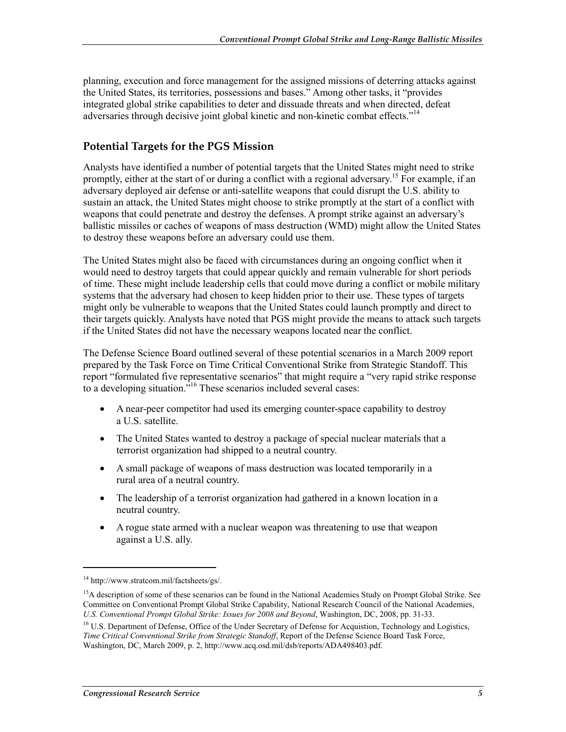planning, execution and force management for the assigned missions of deterring attacks against the United States, its territories, possessions and bases." Among other tasks, it "provides integrated global strike capabilities to deter and dissuade threats and when directed, defeat adversaries through decisive joint global kinetic and non-kinetic combat effects."<sup>14</sup>

#### **Potential Targets for the PGS Mission**

Analysts have identified a number of potential targets that the United States might need to strike promptly, either at the start of or during a conflict with a regional adversary.<sup>15</sup> For example, if an adversary deployed air defense or anti-satellite weapons that could disrupt the U.S. ability to sustain an attack, the United States might choose to strike promptly at the start of a conflict with weapons that could penetrate and destroy the defenses. A prompt strike against an adversary's ballistic missiles or caches of weapons of mass destruction (WMD) might allow the United States to destroy these weapons before an adversary could use them.

The United States might also be faced with circumstances during an ongoing conflict when it would need to destroy targets that could appear quickly and remain vulnerable for short periods of time. These might include leadership cells that could move during a conflict or mobile military systems that the adversary had chosen to keep hidden prior to their use. These types of targets might only be vulnerable to weapons that the United States could launch promptly and direct to their targets quickly. Analysts have noted that PGS might provide the means to attack such targets if the United States did not have the necessary weapons located near the conflict.

The Defense Science Board outlined several of these potential scenarios in a March 2009 report prepared by the Task Force on Time Critical Conventional Strike from Strategic Standoff. This report "formulated five representative scenarios" that might require a "very rapid strike response to a developing situation.<sup> $16$ </sup> These scenarios included several cases:

- A near-peer competitor had used its emerging counter-space capability to destroy a U.S. satellite.
- The United States wanted to destroy a package of special nuclear materials that a terrorist organization had shipped to a neutral country.
- A small package of weapons of mass destruction was located temporarily in a rural area of a neutral country.
- The leadership of a terrorist organization had gathered in a known location in a neutral country.
- A rogue state armed with a nuclear weapon was threatening to use that weapon against a U.S. ally.

<sup>14</sup> http://www.stratcom.mil/factsheets/gs/.

<sup>&</sup>lt;sup>15</sup>A description of some of these scenarios can be found in the National Academies Study on Prompt Global Strike. See Committee on Conventional Prompt Global Strike Capability, National Research Council of the National Academies, *U.S. Conventional Prompt Global Strike: Issues for 2008 and Beyond*, Washington, DC, 2008, pp. 31-33.

<sup>&</sup>lt;sup>16</sup> U.S. Department of Defense, Office of the Under Secretary of Defense for Acquistion, Technology and Logistics, *Time Critical Conventional Strike from Strategic Standoff*, Report of the Defense Science Board Task Force, Washington, DC, March 2009, p. 2, http://www.acq.osd.mil/dsb/reports/ADA498403.pdf.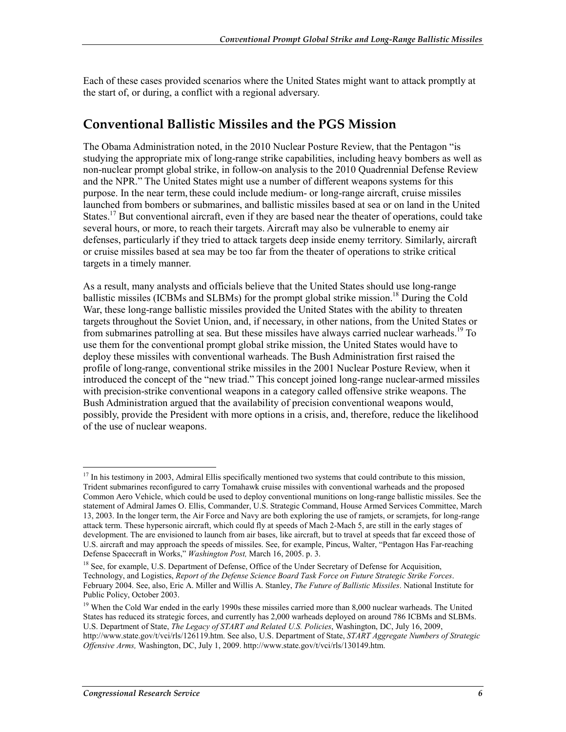Each of these cases provided scenarios where the United States might want to attack promptly at the start of, or during, a conflict with a regional adversary.

### **Conventional Ballistic Missiles and the PGS Mission**

The Obama Administration noted, in the 2010 Nuclear Posture Review, that the Pentagon "is studying the appropriate mix of long-range strike capabilities, including heavy bombers as well as non-nuclear prompt global strike, in follow-on analysis to the 2010 Quadrennial Defense Review and the NPR." The United States might use a number of different weapons systems for this purpose. In the near term, these could include medium- or long-range aircraft, cruise missiles launched from bombers or submarines, and ballistic missiles based at sea or on land in the United States.<sup>17</sup> But conventional aircraft, even if they are based near the theater of operations, could take several hours, or more, to reach their targets. Aircraft may also be vulnerable to enemy air defenses, particularly if they tried to attack targets deep inside enemy territory. Similarly, aircraft or cruise missiles based at sea may be too far from the theater of operations to strike critical targets in a timely manner.

As a result, many analysts and officials believe that the United States should use long-range ballistic missiles (ICBMs and SLBMs) for the prompt global strike mission.<sup>18</sup> During the Cold War, these long-range ballistic missiles provided the United States with the ability to threaten targets throughout the Soviet Union, and, if necessary, in other nations, from the United States or from submarines patrolling at sea. But these missiles have always carried nuclear warheads.19 To use them for the conventional prompt global strike mission, the United States would have to deploy these missiles with conventional warheads. The Bush Administration first raised the profile of long-range, conventional strike missiles in the 2001 Nuclear Posture Review, when it introduced the concept of the "new triad." This concept joined long-range nuclear-armed missiles with precision-strike conventional weapons in a category called offensive strike weapons. The Bush Administration argued that the availability of precision conventional weapons would, possibly, provide the President with more options in a crisis, and, therefore, reduce the likelihood of the use of nuclear weapons.

<sup>&</sup>lt;sup>17</sup> In his testimony in 2003, Admiral Ellis specifically mentioned two systems that could contribute to this mission, Trident submarines reconfigured to carry Tomahawk cruise missiles with conventional warheads and the proposed Common Aero Vehicle, which could be used to deploy conventional munitions on long-range ballistic missiles. See the statement of Admiral James O. Ellis, Commander, U.S. Strategic Command, House Armed Services Committee, March 13, 2003. In the longer term, the Air Force and Navy are both exploring the use of ramjets, or scramjets, for long-range attack term. These hypersonic aircraft, which could fly at speeds of Mach 2-Mach 5, are still in the early stages of development. The are envisioned to launch from air bases, like aircraft, but to travel at speeds that far exceed those of U.S. aircraft and may approach the speeds of missiles. See, for example, Pincus, Walter, "Pentagon Has Far-reaching Defense Spacecraft in Works," *Washington Post,* March 16, 2005. p. 3.

<sup>&</sup>lt;sup>18</sup> See, for example, U.S. Department of Defense, Office of the Under Secretary of Defense for Acquisition. Technology, and Logistics, *Report of the Defense Science Board Task Force on Future Strategic Strike Forces*. February 2004. See, also, Eric A. Miller and Willis A. Stanley, *The Future of Ballistic Missiles*. National Institute for Public Policy, October 2003.

<sup>&</sup>lt;sup>19</sup> When the Cold War ended in the early 1990s these missiles carried more than 8,000 nuclear warheads. The United States has reduced its strategic forces, and currently has 2,000 warheads deployed on around 786 ICBMs and SLBMs. U.S. Department of State, *The Legacy of START and Related U.S. Policies*, Washington, DC, July 16, 2009, http://www.state.gov/t/vci/rls/126119.htm. See also, U.S. Department of State, *START Aggregate Numbers of Strategic Offensive Arms,* Washington, DC, July 1, 2009. http://www.state.gov/t/vci/rls/130149.htm.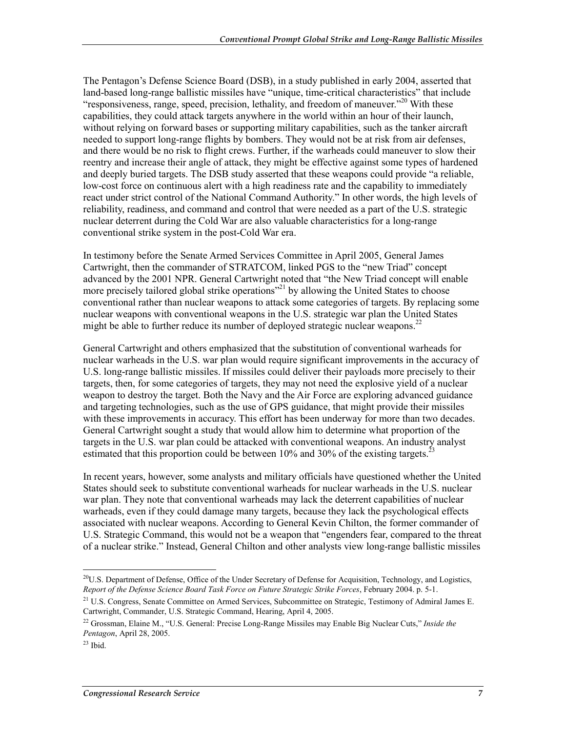The Pentagon's Defense Science Board (DSB), in a study published in early 2004, asserted that land-based long-range ballistic missiles have "unique, time-critical characteristics" that include "responsiveness, range, speed, precision, lethality, and freedom of maneuver."<sup>20</sup> With these capabilities, they could attack targets anywhere in the world within an hour of their launch, without relying on forward bases or supporting military capabilities, such as the tanker aircraft needed to support long-range flights by bombers. They would not be at risk from air defenses, and there would be no risk to flight crews. Further, if the warheads could maneuver to slow their reentry and increase their angle of attack, they might be effective against some types of hardened and deeply buried targets. The DSB study asserted that these weapons could provide "a reliable, low-cost force on continuous alert with a high readiness rate and the capability to immediately react under strict control of the National Command Authority." In other words, the high levels of reliability, readiness, and command and control that were needed as a part of the U.S. strategic nuclear deterrent during the Cold War are also valuable characteristics for a long-range conventional strike system in the post-Cold War era.

In testimony before the Senate Armed Services Committee in April 2005, General James Cartwright, then the commander of STRATCOM, linked PGS to the "new Triad" concept advanced by the 2001 NPR. General Cartwright noted that "the New Triad concept will enable more precisely tailored global strike operations<sup>"21</sup> by allowing the United States to choose conventional rather than nuclear weapons to attack some categories of targets. By replacing some nuclear weapons with conventional weapons in the U.S. strategic war plan the United States might be able to further reduce its number of deployed strategic nuclear weapons.<sup>22</sup>

General Cartwright and others emphasized that the substitution of conventional warheads for nuclear warheads in the U.S. war plan would require significant improvements in the accuracy of U.S. long-range ballistic missiles. If missiles could deliver their payloads more precisely to their targets, then, for some categories of targets, they may not need the explosive yield of a nuclear weapon to destroy the target. Both the Navy and the Air Force are exploring advanced guidance and targeting technologies, such as the use of GPS guidance, that might provide their missiles with these improvements in accuracy. This effort has been underway for more than two decades. General Cartwright sought a study that would allow him to determine what proportion of the targets in the U.S. war plan could be attacked with conventional weapons. An industry analyst estimated that this proportion could be between 10% and 30% of the existing targets.<sup>23</sup>

In recent years, however, some analysts and military officials have questioned whether the United States should seek to substitute conventional warheads for nuclear warheads in the U.S. nuclear war plan. They note that conventional warheads may lack the deterrent capabilities of nuclear warheads, even if they could damage many targets, because they lack the psychological effects associated with nuclear weapons. According to General Kevin Chilton, the former commander of U.S. Strategic Command, this would not be a weapon that "engenders fear, compared to the threat of a nuclear strike." Instead, General Chilton and other analysts view long-range ballistic missiles

<sup>1</sup>  $^{20}$ U.S. Department of Defense, Office of the Under Secretary of Defense for Acquisition, Technology, and Logistics, *Report of the Defense Science Board Task Force on Future Strategic Strike Forces*, February 2004. p. 5-1.

<sup>&</sup>lt;sup>21</sup> U.S. Congress, Senate Committee on Armed Services, Subcommittee on Strategic, Testimony of Admiral James E. Cartwright, Commander, U.S. Strategic Command, Hearing, April 4, 2005.

<sup>22</sup> Grossman, Elaine M., "U.S. General: Precise Long-Range Missiles may Enable Big Nuclear Cuts," *Inside the Pentagon*, April 28, 2005.

 $23$  Ibid.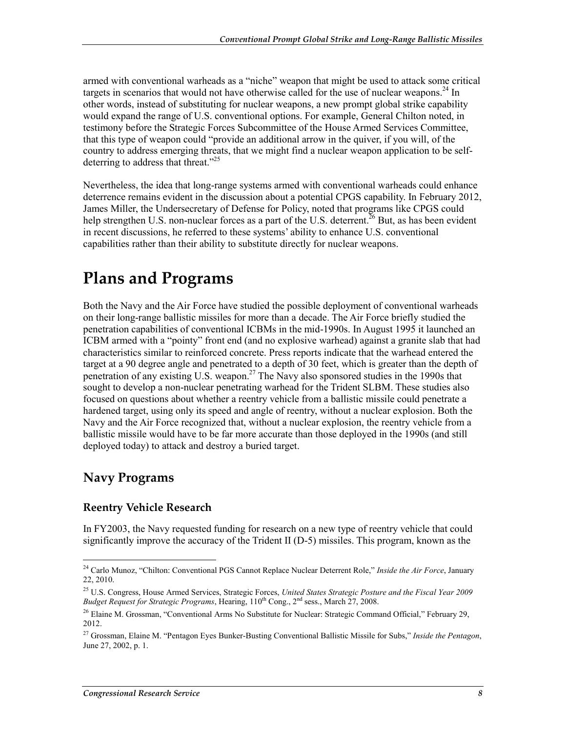armed with conventional warheads as a "niche" weapon that might be used to attack some critical targets in scenarios that would not have otherwise called for the use of nuclear weapons.<sup>24</sup> In other words, instead of substituting for nuclear weapons, a new prompt global strike capability would expand the range of U.S. conventional options. For example, General Chilton noted, in testimony before the Strategic Forces Subcommittee of the House Armed Services Committee, that this type of weapon could "provide an additional arrow in the quiver, if you will, of the country to address emerging threats, that we might find a nuclear weapon application to be selfdeterring to address that threat." $^{25}$ 

Nevertheless, the idea that long-range systems armed with conventional warheads could enhance deterrence remains evident in the discussion about a potential CPGS capability. In February 2012, James Miller, the Undersecretary of Defense for Policy, noted that programs like CPGS could help strengthen U.S. non-nuclear forces as a part of the U.S. deterrent.<sup>26</sup> But, as has been evident in recent discussions, he referred to these systems' ability to enhance U.S. conventional capabilities rather than their ability to substitute directly for nuclear weapons.

## **Plans and Programs**

Both the Navy and the Air Force have studied the possible deployment of conventional warheads on their long-range ballistic missiles for more than a decade. The Air Force briefly studied the penetration capabilities of conventional ICBMs in the mid-1990s. In August 1995 it launched an ICBM armed with a "pointy" front end (and no explosive warhead) against a granite slab that had characteristics similar to reinforced concrete. Press reports indicate that the warhead entered the target at a 90 degree angle and penetrated to a depth of 30 feet, which is greater than the depth of penetration of any existing U.S. weapon.27 The Navy also sponsored studies in the 1990s that sought to develop a non-nuclear penetrating warhead for the Trident SLBM. These studies also focused on questions about whether a reentry vehicle from a ballistic missile could penetrate a hardened target, using only its speed and angle of reentry, without a nuclear explosion. Both the Navy and the Air Force recognized that, without a nuclear explosion, the reentry vehicle from a ballistic missile would have to be far more accurate than those deployed in the 1990s (and still deployed today) to attack and destroy a buried target.

### **Navy Programs**

#### **Reentry Vehicle Research**

In FY2003, the Navy requested funding for research on a new type of reentry vehicle that could significantly improve the accuracy of the Trident II (D-5) missiles. This program, known as the

<sup>1</sup> 24 Carlo Munoz, "Chilton: Conventional PGS Cannot Replace Nuclear Deterrent Role," *Inside the Air Force*, January 22, 2010.

<sup>25</sup> U.S. Congress, House Armed Services, Strategic Forces, *United States Strategic Posture and the Fiscal Year 2009 Budget Request for Strategic Programs*, Hearing, 110th Cong., 2nd sess., March 27, 2008.

<sup>&</sup>lt;sup>26</sup> Elaine M. Grossman, "Conventional Arms No Substitute for Nuclear: Strategic Command Official," February 29, 2012.

<sup>27</sup> Grossman, Elaine M. "Pentagon Eyes Bunker-Busting Conventional Ballistic Missile for Subs," *Inside the Pentagon*, June 27, 2002, p. 1.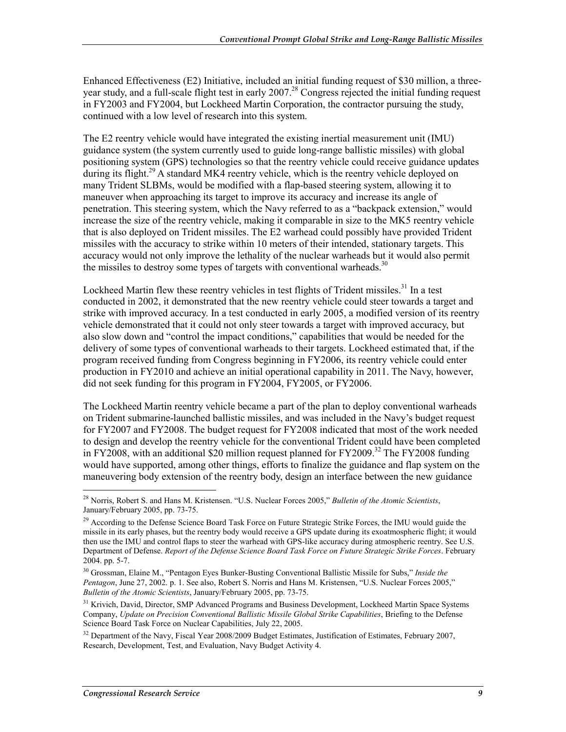Enhanced Effectiveness (E2) Initiative, included an initial funding request of \$30 million, a threeyear study, and a full-scale flight test in early 2007.<sup>28</sup> Congress rejected the initial funding request in FY2003 and FY2004, but Lockheed Martin Corporation, the contractor pursuing the study, continued with a low level of research into this system.

The E2 reentry vehicle would have integrated the existing inertial measurement unit (IMU) guidance system (the system currently used to guide long-range ballistic missiles) with global positioning system (GPS) technologies so that the reentry vehicle could receive guidance updates during its flight.<sup>29</sup> A standard MK4 reentry vehicle, which is the reentry vehicle deployed on many Trident SLBMs, would be modified with a flap-based steering system, allowing it to maneuver when approaching its target to improve its accuracy and increase its angle of penetration. This steering system, which the Navy referred to as a "backpack extension," would increase the size of the reentry vehicle, making it comparable in size to the MK5 reentry vehicle that is also deployed on Trident missiles. The E2 warhead could possibly have provided Trident missiles with the accuracy to strike within 10 meters of their intended, stationary targets. This accuracy would not only improve the lethality of the nuclear warheads but it would also permit the missiles to destroy some types of targets with conventional warheads.<sup>30</sup>

Lockheed Martin flew these reentry vehicles in test flights of Trident missiles.<sup>31</sup> In a test conducted in 2002, it demonstrated that the new reentry vehicle could steer towards a target and strike with improved accuracy. In a test conducted in early 2005, a modified version of its reentry vehicle demonstrated that it could not only steer towards a target with improved accuracy, but also slow down and "control the impact conditions," capabilities that would be needed for the delivery of some types of conventional warheads to their targets. Lockheed estimated that, if the program received funding from Congress beginning in FY2006, its reentry vehicle could enter production in FY2010 and achieve an initial operational capability in 2011. The Navy, however, did not seek funding for this program in FY2004, FY2005, or FY2006.

The Lockheed Martin reentry vehicle became a part of the plan to deploy conventional warheads on Trident submarine-launched ballistic missiles, and was included in the Navy's budget request for FY2007 and FY2008. The budget request for FY2008 indicated that most of the work needed to design and develop the reentry vehicle for the conventional Trident could have been completed in FY2008, with an additional \$20 million request planned for FY2009.<sup>32</sup> The FY2008 funding would have supported, among other things, efforts to finalize the guidance and flap system on the maneuvering body extension of the reentry body, design an interface between the new guidance

<sup>1</sup> 28 Norris, Robert S. and Hans M. Kristensen. "U.S. Nuclear Forces 2005," *Bulletin of the Atomic Scientists*, January/February 2005, pp. 73-75.

<sup>&</sup>lt;sup>29</sup> According to the Defense Science Board Task Force on Future Strategic Strike Forces, the IMU would guide the missile in its early phases, but the reentry body would receive a GPS update during its exoatmospheric flight; it would then use the IMU and control flaps to steer the warhead with GPS-like accuracy during atmospheric reentry. See U.S. Department of Defense. *Report of the Defense Science Board Task Force on Future Strategic Strike Forces*. February 2004. pp. 5-7.

<sup>30</sup> Grossman, Elaine M., "Pentagon Eyes Bunker-Busting Conventional Ballistic Missile for Subs," *Inside the Pentagon*, June 27, 2002. p. 1. See also, Robert S. Norris and Hans M. Kristensen, "U.S. Nuclear Forces 2005," *Bulletin of the Atomic Scientists*, January/February 2005, pp. 73-75.

<sup>&</sup>lt;sup>31</sup> Krivich, David, Director, SMP Advanced Programs and Business Development, Lockheed Martin Space Systems Company, *Update on Precision Conventional Ballistic Missile Global Strike Capabilities*, Briefing to the Defense Science Board Task Force on Nuclear Capabilities, July 22, 2005.

<sup>&</sup>lt;sup>32</sup> Department of the Navy, Fiscal Year 2008/2009 Budget Estimates, Justification of Estimates, February 2007, Research, Development, Test, and Evaluation, Navy Budget Activity 4.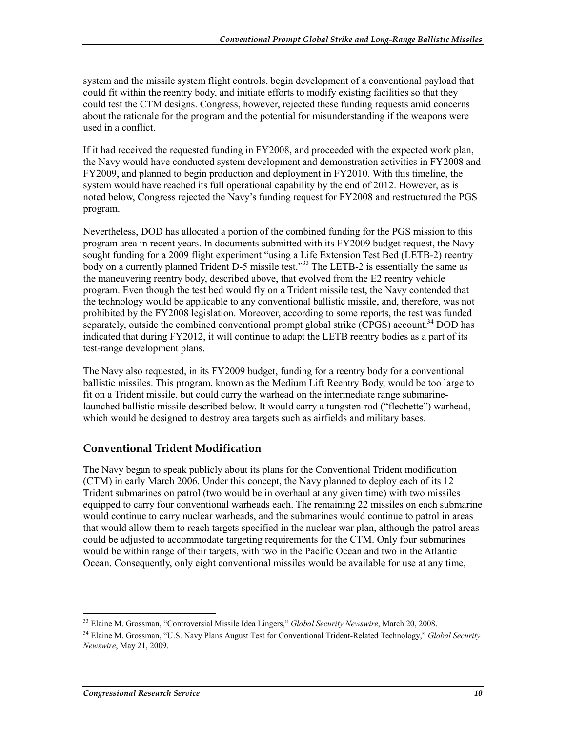system and the missile system flight controls, begin development of a conventional payload that could fit within the reentry body, and initiate efforts to modify existing facilities so that they could test the CTM designs. Congress, however, rejected these funding requests amid concerns about the rationale for the program and the potential for misunderstanding if the weapons were used in a conflict.

If it had received the requested funding in FY2008, and proceeded with the expected work plan, the Navy would have conducted system development and demonstration activities in FY2008 and FY2009, and planned to begin production and deployment in FY2010. With this timeline, the system would have reached its full operational capability by the end of 2012. However, as is noted below, Congress rejected the Navy's funding request for FY2008 and restructured the PGS program.

Nevertheless, DOD has allocated a portion of the combined funding for the PGS mission to this program area in recent years. In documents submitted with its FY2009 budget request, the Navy sought funding for a 2009 flight experiment "using a Life Extension Test Bed (LETB-2) reentry body on a currently planned Trident D-5 missile test."<sup>33</sup> The LETB-2 is essentially the same as the maneuvering reentry body, described above, that evolved from the E2 reentry vehicle program. Even though the test bed would fly on a Trident missile test, the Navy contended that the technology would be applicable to any conventional ballistic missile, and, therefore, was not prohibited by the FY2008 legislation. Moreover, according to some reports, the test was funded separately, outside the combined conventional prompt global strike (CPGS) account.<sup>34</sup> DOD has indicated that during FY2012, it will continue to adapt the LETB reentry bodies as a part of its test-range development plans.

The Navy also requested, in its FY2009 budget, funding for a reentry body for a conventional ballistic missiles. This program, known as the Medium Lift Reentry Body, would be too large to fit on a Trident missile, but could carry the warhead on the intermediate range submarinelaunched ballistic missile described below. It would carry a tungsten-rod ("flechette") warhead, which would be designed to destroy area targets such as airfields and military bases.

#### **Conventional Trident Modification**

The Navy began to speak publicly about its plans for the Conventional Trident modification (CTM) in early March 2006. Under this concept, the Navy planned to deploy each of its 12 Trident submarines on patrol (two would be in overhaul at any given time) with two missiles equipped to carry four conventional warheads each. The remaining 22 missiles on each submarine would continue to carry nuclear warheads, and the submarines would continue to patrol in areas that would allow them to reach targets specified in the nuclear war plan, although the patrol areas could be adjusted to accommodate targeting requirements for the CTM. Only four submarines would be within range of their targets, with two in the Pacific Ocean and two in the Atlantic Ocean. Consequently, only eight conventional missiles would be available for use at any time,

<sup>33</sup> Elaine M. Grossman, "Controversial Missile Idea Lingers," *Global Security Newswire*, March 20, 2008.

<sup>34</sup> Elaine M. Grossman, "U.S. Navy Plans August Test for Conventional Trident-Related Technology," *Global Security Newswire*, May 21, 2009.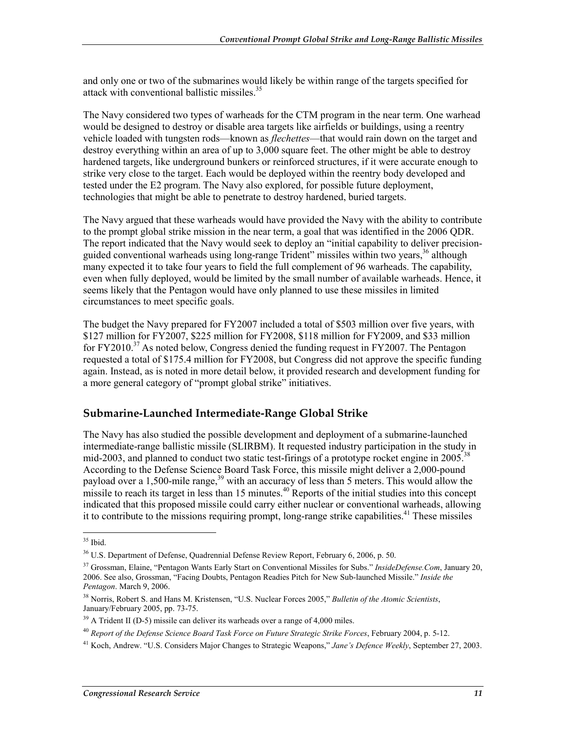and only one or two of the submarines would likely be within range of the targets specified for attack with conventional ballistic missiles.<sup>35</sup>

The Navy considered two types of warheads for the CTM program in the near term. One warhead would be designed to destroy or disable area targets like airfields or buildings, using a reentry vehicle loaded with tungsten rods—known as *flechettes*—that would rain down on the target and destroy everything within an area of up to 3,000 square feet. The other might be able to destroy hardened targets, like underground bunkers or reinforced structures, if it were accurate enough to strike very close to the target. Each would be deployed within the reentry body developed and tested under the E2 program. The Navy also explored, for possible future deployment, technologies that might be able to penetrate to destroy hardened, buried targets.

The Navy argued that these warheads would have provided the Navy with the ability to contribute to the prompt global strike mission in the near term, a goal that was identified in the 2006 QDR. The report indicated that the Navy would seek to deploy an "initial capability to deliver precisionguided conventional warheads using long-range Trident" missiles within two years,  $36$  although many expected it to take four years to field the full complement of 96 warheads. The capability, even when fully deployed, would be limited by the small number of available warheads. Hence, it seems likely that the Pentagon would have only planned to use these missiles in limited circumstances to meet specific goals.

The budget the Navy prepared for FY2007 included a total of \$503 million over five years, with \$127 million for FY2007, \$225 million for FY2008, \$118 million for FY2009, and \$33 million for FY2010.<sup>37</sup> As noted below, Congress denied the funding request in FY2007. The Pentagon requested a total of \$175.4 million for FY2008, but Congress did not approve the specific funding again. Instead, as is noted in more detail below, it provided research and development funding for a more general category of "prompt global strike" initiatives.

#### **Submarine-Launched Intermediate-Range Global Strike**

The Navy has also studied the possible development and deployment of a submarine-launched intermediate-range ballistic missile (SLIRBM). It requested industry participation in the study in mid-2003, and planned to conduct two static test-firings of a prototype rocket engine in 2005.<sup>38</sup> According to the Defense Science Board Task Force, this missile might deliver a 2,000-pound payload over a 1,500-mile range,  $39$  with an accuracy of less than 5 meters. This would allow the missile to reach its target in less than 15 minutes.<sup>40</sup> Reports of the initial studies into this concept indicated that this proposed missile could carry either nuclear or conventional warheads, allowing it to contribute to the missions requiring prompt, long-range strike capabilities.<sup>41</sup> These missiles

<sup>35</sup> Ibid.

<sup>&</sup>lt;sup>36</sup> U.S. Department of Defense, Quadrennial Defense Review Report, February 6, 2006, p. 50.

<sup>37</sup> Grossman, Elaine, "Pentagon Wants Early Start on Conventional Missiles for Subs." *InsideDefense.Com*, January 20, 2006. See also, Grossman, "Facing Doubts, Pentagon Readies Pitch for New Sub-launched Missile." *Inside the Pentagon*. March 9, 2006.

<sup>38</sup> Norris, Robert S. and Hans M. Kristensen, "U.S. Nuclear Forces 2005," *Bulletin of the Atomic Scientists*, January/February 2005, pp. 73-75.

<sup>&</sup>lt;sup>39</sup> A Trident II (D-5) missile can deliver its warheads over a range of 4,000 miles.

<sup>40</sup> *Report of the Defense Science Board Task Force on Future Strategic Strike Forces*, February 2004, p. 5-12.

<sup>41</sup> Koch, Andrew. "U.S. Considers Major Changes to Strategic Weapons," *Jane's Defence Weekly*, September 27, 2003.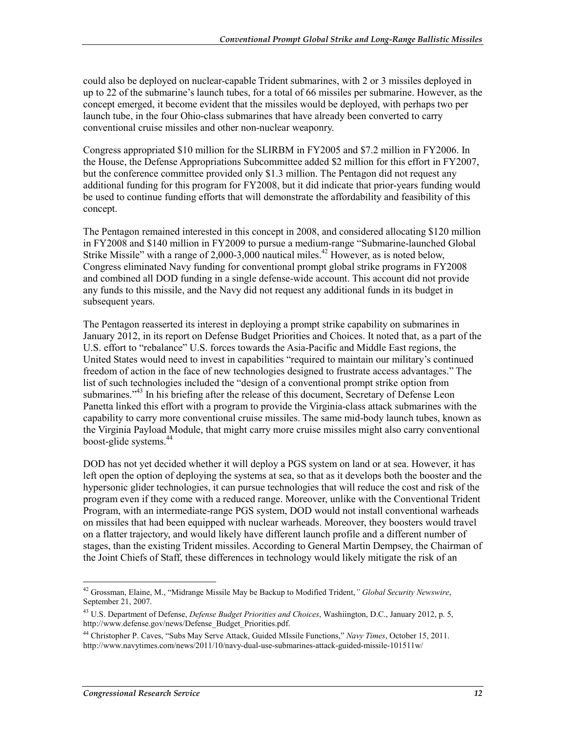could also be deployed on nuclear-capable Trident submarines, with 2 or 3 missiles deployed in up to 22 of the submarine's launch tubes, for a total of 66 missiles per submarine. However, as the concept emerged, it become evident that the missiles would be deployed, with perhaps two per launch tube, in the four Ohio-class submarines that have already been converted to carry conventional cruise missiles and other non-nuclear weaponry.

Congress appropriated \$10 million for the SLIRBM in FY2005 and \$7.2 million in FY2006. In the House, the Defense Appropriations Subcommittee added \$2 million for this effort in FY2007, but the conference committee provided only \$1.3 million. The Pentagon did not request any additional funding for this program for FY2008, but it did indicate that prior-years funding would be used to continue funding efforts that will demonstrate the affordability and feasibility of this concept.

The Pentagon remained interested in this concept in 2008, and considered allocating \$120 million in FY2008 and \$140 million in FY2009 to pursue a medium-range "Submarine-launched Global Strike Missile" with a range of  $2,000-3,000$  nautical miles.<sup>42</sup> However, as is noted below, Congress eliminated Navy funding for conventional prompt global strike programs in FY2008 and combined all DOD funding in a single defense-wide account. This account did not provide any funds to this missile, and the Navy did not request any additional funds in its budget in subsequent years.

The Pentagon reasserted its interest in deploying a prompt strike capability on submarines in January 2012, in its report on Defense Budget Priorities and Choices. It noted that, as a part of the U.S. effort to "rebalance" U.S. forces towards the Asia-Pacific and Middle East regions, the United States would need to invest in capabilities "required to maintain our military's continued freedom of action in the face of new technologies designed to frustrate access advantages." The list of such technologies included the "design of a conventional prompt strike option from submarines."<sup>43</sup> In his briefing after the release of this document, Secretary of Defense Leon Panetta linked this effort with a program to provide the Virginia-class attack submarines with the capability to carry more conventional cruise missiles. The same mid-body launch tubes, known as the Virginia Payload Module, that might carry more cruise missiles might also carry conventional boost-glide systems.44

DOD has not yet decided whether it will deploy a PGS system on land or at sea. However, it has left open the option of deploying the systems at sea, so that as it develops both the booster and the hypersonic glider technologies, it can pursue technologies that will reduce the cost and risk of the program even if they come with a reduced range. Moreover, unlike with the Conventional Trident Program, with an intermediate-range PGS system, DOD would not install conventional warheads on missiles that had been equipped with nuclear warheads. Moreover, they boosters would travel on a flatter trajectory, and would likely have different launch profile and a different number of stages, than the existing Trident missiles. According to General Martin Dempsey, the Chairman of the Joint Chiefs of Staff, these differences in technology would likely mitigate the risk of an

<sup>1</sup> 42 Grossman, Elaine, M., "Midrange Missile May be Backup to Modified Trident,*" Global Security Newswire*, September 21, 2007.

<sup>43</sup> U.S. Department of Defense, *Defense Budget Priorities and Choices*, Washiington, D.C., January 2012, p. 5, http://www.defense.gov/news/Defense\_Budget\_Priorities.pdf.

<sup>44</sup> Christopher P. Caves, "Subs May Serve Attack, Guided MIssile Functions," *Navy Times*, October 15, 2011. http://www.navytimes.com/news/2011/10/navy-dual-use-submarines-attack-guided-missile-101511w/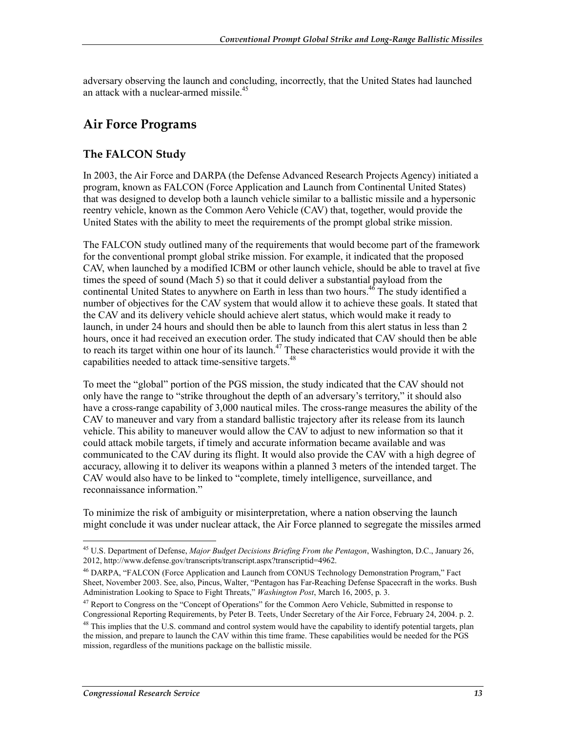adversary observing the launch and concluding, incorrectly, that the United States had launched an attack with a nuclear-armed missile.<sup>45</sup>

## **Air Force Programs**

#### **The FALCON Study**

In 2003, the Air Force and DARPA (the Defense Advanced Research Projects Agency) initiated a program, known as FALCON (Force Application and Launch from Continental United States) that was designed to develop both a launch vehicle similar to a ballistic missile and a hypersonic reentry vehicle, known as the Common Aero Vehicle (CAV) that, together, would provide the United States with the ability to meet the requirements of the prompt global strike mission.

The FALCON study outlined many of the requirements that would become part of the framework for the conventional prompt global strike mission. For example, it indicated that the proposed CAV, when launched by a modified ICBM or other launch vehicle, should be able to travel at five times the speed of sound (Mach 5) so that it could deliver a substantial payload from the continental United States to anywhere on Earth in less than two hours.<sup>46</sup> The study identified a number of objectives for the CAV system that would allow it to achieve these goals. It stated that the CAV and its delivery vehicle should achieve alert status, which would make it ready to launch, in under 24 hours and should then be able to launch from this alert status in less than 2 hours, once it had received an execution order. The study indicated that CAV should then be able to reach its target within one hour of its launch.<sup>47</sup> These characteristics would provide it with the capabilities needed to attack time-sensitive targets.<sup>48</sup>

To meet the "global" portion of the PGS mission, the study indicated that the CAV should not only have the range to "strike throughout the depth of an adversary's territory," it should also have a cross-range capability of 3,000 nautical miles. The cross-range measures the ability of the CAV to maneuver and vary from a standard ballistic trajectory after its release from its launch vehicle. This ability to maneuver would allow the CAV to adjust to new information so that it could attack mobile targets, if timely and accurate information became available and was communicated to the CAV during its flight. It would also provide the CAV with a high degree of accuracy, allowing it to deliver its weapons within a planned 3 meters of the intended target. The CAV would also have to be linked to "complete, timely intelligence, surveillance, and reconnaissance information."

To minimize the risk of ambiguity or misinterpretation, where a nation observing the launch might conclude it was under nuclear attack, the Air Force planned to segregate the missiles armed

<sup>45</sup> U.S. Department of Defense, *Major Budget Decisions Briefing From the Pentagon*, Washington, D.C., January 26, 2012, http://www.defense.gov/transcripts/transcript.aspx?transcriptid=4962.

<sup>46</sup> DARPA, "FALCON (Force Application and Launch from CONUS Technology Demonstration Program," Fact Sheet, November 2003. See, also, Pincus, Walter, "Pentagon has Far-Reaching Defense Spacecraft in the works. Bush Administration Looking to Space to Fight Threats," *Washington Post*, March 16, 2005, p. 3.

<sup>&</sup>lt;sup>47</sup> Report to Congress on the "Concept of Operations" for the Common Aero Vehicle, Submitted in response to Congressional Reporting Requirements, by Peter B. Teets, Under Secretary of the Air Force, February 24, 2004. p. 2.

<sup>&</sup>lt;sup>48</sup> This implies that the U.S. command and control system would have the capability to identify potential targets, plan the mission, and prepare to launch the CAV within this time frame. These capabilities would be needed for the PGS mission, regardless of the munitions package on the ballistic missile.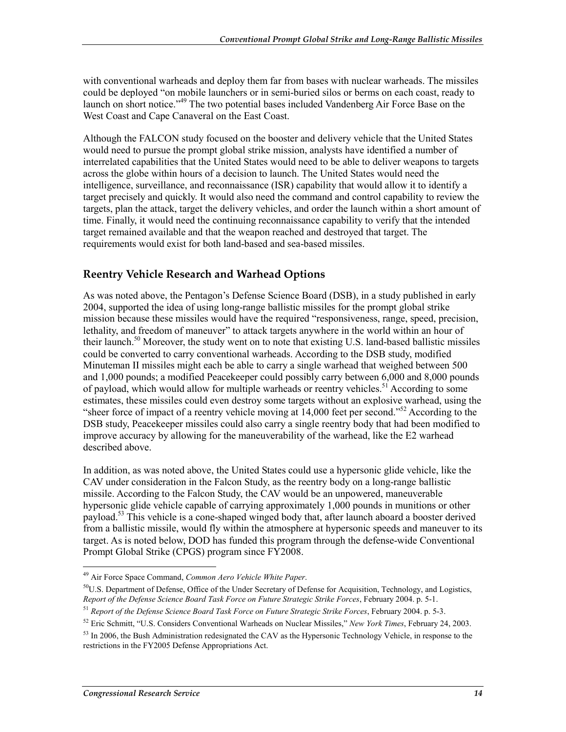with conventional warheads and deploy them far from bases with nuclear warheads. The missiles could be deployed "on mobile launchers or in semi-buried silos or berms on each coast, ready to launch on short notice."<sup>49</sup> The two potential bases included Vandenberg Air Force Base on the West Coast and Cape Canaveral on the East Coast.

Although the FALCON study focused on the booster and delivery vehicle that the United States would need to pursue the prompt global strike mission, analysts have identified a number of interrelated capabilities that the United States would need to be able to deliver weapons to targets across the globe within hours of a decision to launch. The United States would need the intelligence, surveillance, and reconnaissance (ISR) capability that would allow it to identify a target precisely and quickly. It would also need the command and control capability to review the targets, plan the attack, target the delivery vehicles, and order the launch within a short amount of time. Finally, it would need the continuing reconnaissance capability to verify that the intended target remained available and that the weapon reached and destroyed that target. The requirements would exist for both land-based and sea-based missiles.

#### **Reentry Vehicle Research and Warhead Options**

As was noted above, the Pentagon's Defense Science Board (DSB), in a study published in early 2004, supported the idea of using long-range ballistic missiles for the prompt global strike mission because these missiles would have the required "responsiveness, range, speed, precision, lethality, and freedom of maneuver" to attack targets anywhere in the world within an hour of their launch.<sup>50</sup> Moreover, the study went on to note that existing U.S. land-based ballistic missiles could be converted to carry conventional warheads. According to the DSB study, modified Minuteman II missiles might each be able to carry a single warhead that weighed between 500 and 1,000 pounds; a modified Peacekeeper could possibly carry between 6,000 and 8,000 pounds of payload, which would allow for multiple warheads or reentry vehicles.<sup>51</sup> According to some estimates, these missiles could even destroy some targets without an explosive warhead, using the "sheer force of impact of a reentry vehicle moving at 14,000 feet per second."52 According to the DSB study, Peacekeeper missiles could also carry a single reentry body that had been modified to improve accuracy by allowing for the maneuverability of the warhead, like the E2 warhead described above.

In addition, as was noted above, the United States could use a hypersonic glide vehicle, like the CAV under consideration in the Falcon Study, as the reentry body on a long-range ballistic missile. According to the Falcon Study, the CAV would be an unpowered, maneuverable hypersonic glide vehicle capable of carrying approximately 1,000 pounds in munitions or other payload.<sup>53</sup> This vehicle is a cone-shaped winged body that, after launch aboard a booster derived from a ballistic missile, would fly within the atmosphere at hypersonic speeds and maneuver to its target. As is noted below, DOD has funded this program through the defense-wide Conventional Prompt Global Strike (CPGS) program since FY2008.

<sup>1</sup> 49 Air Force Space Command, *Common Aero Vehicle White Paper*.

 $50$ U.S. Department of Defense, Office of the Under Secretary of Defense for Acquisition, Technology, and Logistics, *Report of the Defense Science Board Task Force on Future Strategic Strike Forces*, February 2004. p. 5-1.

<sup>51</sup> *Report of the Defense Science Board Task Force on Future Strategic Strike Forces*, February 2004. p. 5-3.

<sup>52</sup> Eric Schmitt, "U.S. Considers Conventional Warheads on Nuclear Missiles," *New York Times*, February 24, 2003.

 $53$  In 2006, the Bush Administration redesignated the CAV as the Hypersonic Technology Vehicle, in response to the restrictions in the FY2005 Defense Appropriations Act.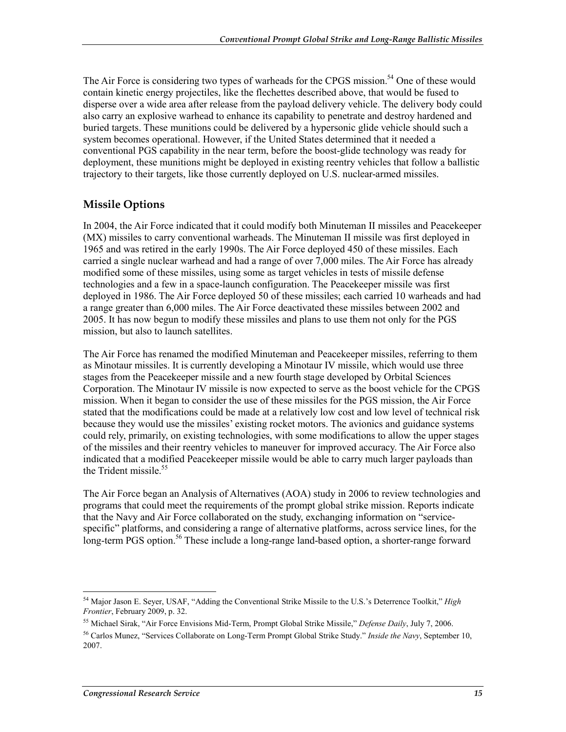The Air Force is considering two types of warheads for the CPGS mission.<sup>54</sup> One of these would contain kinetic energy projectiles, like the flechettes described above, that would be fused to disperse over a wide area after release from the payload delivery vehicle. The delivery body could also carry an explosive warhead to enhance its capability to penetrate and destroy hardened and buried targets. These munitions could be delivered by a hypersonic glide vehicle should such a system becomes operational. However, if the United States determined that it needed a conventional PGS capability in the near term, before the boost-glide technology was ready for deployment, these munitions might be deployed in existing reentry vehicles that follow a ballistic trajectory to their targets, like those currently deployed on U.S. nuclear-armed missiles.

#### **Missile Options**

In 2004, the Air Force indicated that it could modify both Minuteman II missiles and Peacekeeper (MX) missiles to carry conventional warheads. The Minuteman II missile was first deployed in 1965 and was retired in the early 1990s. The Air Force deployed 450 of these missiles. Each carried a single nuclear warhead and had a range of over 7,000 miles. The Air Force has already modified some of these missiles, using some as target vehicles in tests of missile defense technologies and a few in a space-launch configuration. The Peacekeeper missile was first deployed in 1986. The Air Force deployed 50 of these missiles; each carried 10 warheads and had a range greater than 6,000 miles. The Air Force deactivated these missiles between 2002 and 2005. It has now begun to modify these missiles and plans to use them not only for the PGS mission, but also to launch satellites.

The Air Force has renamed the modified Minuteman and Peacekeeper missiles, referring to them as Minotaur missiles. It is currently developing a Minotaur IV missile, which would use three stages from the Peacekeeper missile and a new fourth stage developed by Orbital Sciences Corporation. The Minotaur IV missile is now expected to serve as the boost vehicle for the CPGS mission. When it began to consider the use of these missiles for the PGS mission, the Air Force stated that the modifications could be made at a relatively low cost and low level of technical risk because they would use the missiles' existing rocket motors. The avionics and guidance systems could rely, primarily, on existing technologies, with some modifications to allow the upper stages of the missiles and their reentry vehicles to maneuver for improved accuracy. The Air Force also indicated that a modified Peacekeeper missile would be able to carry much larger payloads than the Trident missile  $55$ 

The Air Force began an Analysis of Alternatives (AOA) study in 2006 to review technologies and programs that could meet the requirements of the prompt global strike mission. Reports indicate that the Navy and Air Force collaborated on the study, exchanging information on "servicespecific" platforms, and considering a range of alternative platforms, across service lines, for the long-term PGS option.<sup>56</sup> These include a long-range land-based option, a shorter-range forward

<sup>1</sup> 54 Major Jason E. Seyer, USAF, "Adding the Conventional Strike Missile to the U.S.'s Deterrence Toolkit," *High Frontier*, February 2009, p. 32.

<sup>55</sup> Michael Sirak, "Air Force Envisions Mid-Term, Prompt Global Strike Missile," *Defense Daily*, July 7, 2006.

<sup>56</sup> Carlos Munez, "Services Collaborate on Long-Term Prompt Global Strike Study." *Inside the Navy*, September 10, 2007.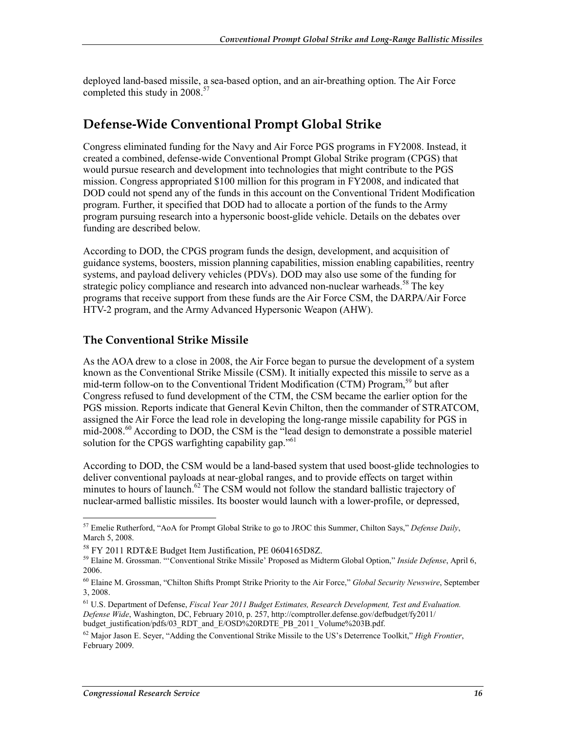deployed land-based missile, a sea-based option, and an air-breathing option. The Air Force completed this study in 2008.<sup>57</sup>

### **Defense-Wide Conventional Prompt Global Strike**

Congress eliminated funding for the Navy and Air Force PGS programs in FY2008. Instead, it created a combined, defense-wide Conventional Prompt Global Strike program (CPGS) that would pursue research and development into technologies that might contribute to the PGS mission. Congress appropriated \$100 million for this program in FY2008, and indicated that DOD could not spend any of the funds in this account on the Conventional Trident Modification program. Further, it specified that DOD had to allocate a portion of the funds to the Army program pursuing research into a hypersonic boost-glide vehicle. Details on the debates over funding are described below.

According to DOD, the CPGS program funds the design, development, and acquisition of guidance systems, boosters, mission planning capabilities, mission enabling capabilities, reentry systems, and payload delivery vehicles (PDVs). DOD may also use some of the funding for strategic policy compliance and research into advanced non-nuclear warheads.<sup>58</sup> The key programs that receive support from these funds are the Air Force CSM, the DARPA/Air Force HTV-2 program, and the Army Advanced Hypersonic Weapon (AHW).

#### **The Conventional Strike Missile**

As the AOA drew to a close in 2008, the Air Force began to pursue the development of a system known as the Conventional Strike Missile (CSM). It initially expected this missile to serve as a mid-term follow-on to the Conventional Trident Modification (CTM) Program,<sup>59</sup> but after Congress refused to fund development of the CTM, the CSM became the earlier option for the PGS mission. Reports indicate that General Kevin Chilton, then the commander of STRATCOM, assigned the Air Force the lead role in developing the long-range missile capability for PGS in mid-2008.<sup>60</sup> According to DOD, the CSM is the "lead design to demonstrate a possible materiel solution for the CPGS warfighting capability gap."<sup>61</sup>

According to DOD, the CSM would be a land-based system that used boost-glide technologies to deliver conventional payloads at near-global ranges, and to provide effects on target within minutes to hours of launch. $62$  The CSM would not follow the standard ballistic trajectory of nuclear-armed ballistic missiles. Its booster would launch with a lower-profile, or depressed,

<sup>1</sup> 57 Emelie Rutherford, "AoA for Prompt Global Strike to go to JROC this Summer, Chilton Says," *Defense Daily*, March 5, 2008.

<sup>58</sup> FY 2011 RDT&E Budget Item Justification, PE 0604165D8Z.

<sup>59</sup> Elaine M. Grossman. "'Conventional Strike Missile' Proposed as Midterm Global Option," *Inside Defense*, April 6, 2006.

<sup>60</sup> Elaine M. Grossman, "Chilton Shifts Prompt Strike Priority to the Air Force," *Global Security Newswire*, September 3, 2008.

<sup>61</sup> U.S. Department of Defense, *Fiscal Year 2011 Budget Estimates, Research Development, Test and Evaluation. Defense Wide*, Washington, DC, February 2010, p. 257, http://comptroller.defense.gov/defbudget/fy2011/ budget\_justification/pdfs/03\_RDT\_and\_E/OSD%20RDTE\_PB\_2011\_Volume%203B.pdf.

<sup>62</sup> Major Jason E. Seyer, "Adding the Conventional Strike Missile to the US's Deterrence Toolkit," *High Frontier*, February 2009.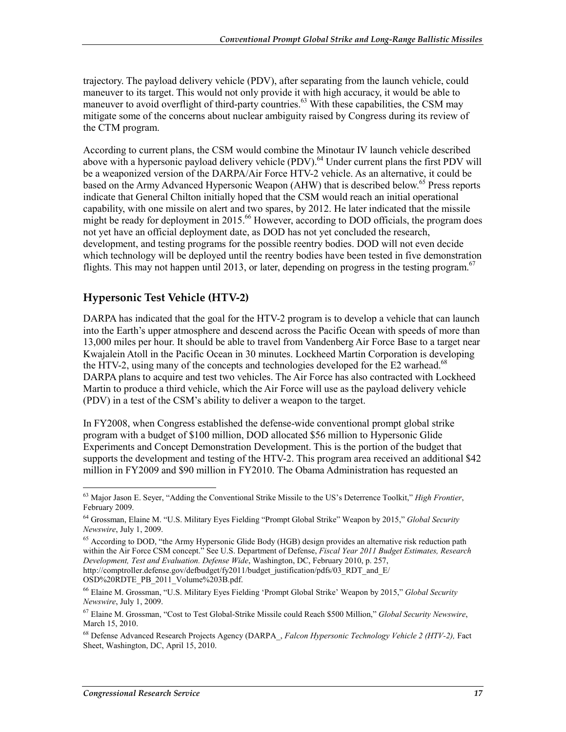trajectory. The payload delivery vehicle (PDV), after separating from the launch vehicle, could maneuver to its target. This would not only provide it with high accuracy, it would be able to maneuver to avoid overflight of third-party countries.<sup>63</sup> With these capabilities, the CSM may mitigate some of the concerns about nuclear ambiguity raised by Congress during its review of the CTM program.

According to current plans, the CSM would combine the Minotaur IV launch vehicle described above with a hypersonic payload delivery vehicle (PDV).<sup>64</sup> Under current plans the first PDV will be a weaponized version of the DARPA/Air Force HTV-2 vehicle. As an alternative, it could be based on the Army Advanced Hypersonic Weapon (AHW) that is described below.<sup>65</sup> Press reports indicate that General Chilton initially hoped that the CSM would reach an initial operational capability, with one missile on alert and two spares, by 2012. He later indicated that the missile might be ready for deployment in 2015.<sup>66</sup> However, according to DOD officials, the program does not yet have an official deployment date, as DOD has not yet concluded the research, development, and testing programs for the possible reentry bodies. DOD will not even decide which technology will be deployed until the reentry bodies have been tested in five demonstration flights. This may not happen until 2013, or later, depending on progress in the testing program.<sup>67</sup>

#### **Hypersonic Test Vehicle (HTV-2)**

DARPA has indicated that the goal for the HTV-2 program is to develop a vehicle that can launch into the Earth's upper atmosphere and descend across the Pacific Ocean with speeds of more than 13,000 miles per hour. It should be able to travel from Vandenberg Air Force Base to a target near Kwajalein Atoll in the Pacific Ocean in 30 minutes. Lockheed Martin Corporation is developing the HTV-2, using many of the concepts and technologies developed for the E2 warhead.<sup>68</sup> DARPA plans to acquire and test two vehicles. The Air Force has also contracted with Lockheed Martin to produce a third vehicle, which the Air Force will use as the payload delivery vehicle (PDV) in a test of the CSM's ability to deliver a weapon to the target.

In FY2008, when Congress established the defense-wide conventional prompt global strike program with a budget of \$100 million, DOD allocated \$56 million to Hypersonic Glide Experiments and Concept Demonstration Development. This is the portion of the budget that supports the development and testing of the HTV-2. This program area received an additional \$42 million in FY2009 and \$90 million in FY2010. The Obama Administration has requested an

<sup>63</sup> Major Jason E. Seyer, "Adding the Conventional Strike Missile to the US's Deterrence Toolkit," *High Frontier*, February 2009.

<sup>64</sup> Grossman, Elaine M. "U.S. Military Eyes Fielding "Prompt Global Strike" Weapon by 2015," *Global Security Newswire*, July 1, 2009.

<sup>&</sup>lt;sup>65</sup> According to DOD, "the Army Hypersonic Glide Body (HGB) design provides an alternative risk reduction path within the Air Force CSM concept." See U.S. Department of Defense, *Fiscal Year 2011 Budget Estimates, Research Development, Test and Evaluation. Defense Wide*, Washington, DC, February 2010, p. 257, http://comptroller.defense.gov/defbudget/fy2011/budget\_justification/pdfs/03\_RDT\_and\_E/ OSD%20RDTE\_PB\_2011\_Volume%203B.pdf.

<sup>66</sup> Elaine M. Grossman, "U.S. Military Eyes Fielding 'Prompt Global Strike' Weapon by 2015," *Global Security Newswire*, July 1, 2009.

<sup>67</sup> Elaine M. Grossman, "Cost to Test Global-Strike Missile could Reach \$500 Million," *Global Security Newswire*, March 15, 2010.

<sup>68</sup> Defense Advanced Research Projects Agency (DARPA\_, *Falcon Hypersonic Technology Vehicle 2 (HTV-2),* Fact Sheet, Washington, DC, April 15, 2010.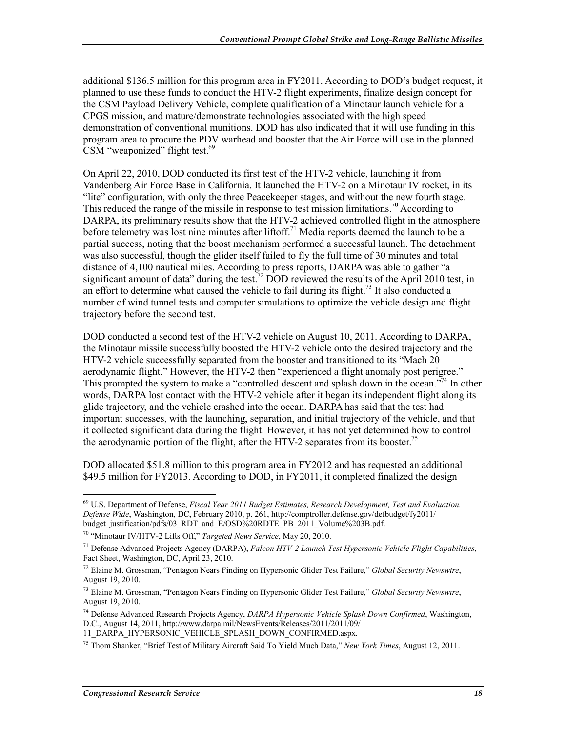additional \$136.5 million for this program area in FY2011. According to DOD's budget request, it planned to use these funds to conduct the HTV-2 flight experiments, finalize design concept for the CSM Payload Delivery Vehicle, complete qualification of a Minotaur launch vehicle for a CPGS mission, and mature/demonstrate technologies associated with the high speed demonstration of conventional munitions. DOD has also indicated that it will use funding in this program area to procure the PDV warhead and booster that the Air Force will use in the planned CSM "weaponized" flight test. $69$ 

On April 22, 2010, DOD conducted its first test of the HTV-2 vehicle, launching it from Vandenberg Air Force Base in California. It launched the HTV-2 on a Minotaur IV rocket, in its "lite" configuration, with only the three Peacekeeper stages, and without the new fourth stage. This reduced the range of the missile in response to test mission limitations.<sup>70</sup> According to DARPA, its preliminary results show that the HTV-2 achieved controlled flight in the atmosphere before telemetry was lost nine minutes after liftoff.<sup>71</sup> Media reports deemed the launch to be a partial success, noting that the boost mechanism performed a successful launch. The detachment was also successful, though the glider itself failed to fly the full time of 30 minutes and total distance of 4,100 nautical miles. According to press reports, DARPA was able to gather "a significant amount of data" during the test.<sup>72</sup> DOD reviewed the results of the April 2010 test, in an effort to determine what caused the vehicle to fail during its flight.<sup>73</sup> It also conducted a number of wind tunnel tests and computer simulations to optimize the vehicle design and flight trajectory before the second test.

DOD conducted a second test of the HTV-2 vehicle on August 10, 2011. According to DARPA, the Minotaur missile successfully boosted the HTV-2 vehicle onto the desired trajectory and the HTV-2 vehicle successfully separated from the booster and transitioned to its "Mach 20 aerodynamic flight." However, the HTV-2 then "experienced a flight anomaly post perigree." This prompted the system to make a "controlled descent and splash down in the ocean."74 In other words, DARPA lost contact with the HTV-2 vehicle after it began its independent flight along its glide trajectory, and the vehicle crashed into the ocean. DARPA has said that the test had important successes, with the launching, separation, and initial trajectory of the vehicle, and that it collected significant data during the flight. However, it has not yet determined how to control the aerodynamic portion of the flight, after the HTV-2 separates from its booster.<sup>75</sup>

DOD allocated \$51.8 million to this program area in FY2012 and has requested an additional \$49.5 million for FY2013. According to DOD, in FY2011, it completed finalized the design

11\_DARPA\_HYPERSONIC\_VEHICLE\_SPLASH\_DOWN\_CONFIRMED.aspx.

<u>.</u>

<sup>69</sup> U.S. Department of Defense, *Fiscal Year 2011 Budget Estimates, Research Development, Test and Evaluation. Defense Wide*, Washington, DC, February 2010, p. 261, http://comptroller.defense.gov/defbudget/fy2011/ budget\_justification/pdfs/03\_RDT\_and\_E/OSD%20RDTE\_PB\_2011\_Volume%203B.pdf.

<sup>70 &</sup>quot;Minotaur IV/HTV-2 Lifts Off," *Targeted News Service*, May 20, 2010.

<sup>71</sup> Defense Advanced Projects Agency (DARPA), *Falcon HTV-2 Launch Test Hypersonic Vehicle Flight Capabilities*, Fact Sheet, Washington, DC, April 23, 2010.

<sup>72</sup> Elaine M. Grossman, "Pentagon Nears Finding on Hypersonic Glider Test Failure," *Global Security Newswire*, August 19, 2010.

<sup>73</sup> Elaine M. Grossman, "Pentagon Nears Finding on Hypersonic Glider Test Failure," *Global Security Newswire*, August 19, 2010.

<sup>74</sup> Defense Advanced Research Projects Agency, *DARPA Hypersonic Vehicle Splash Down Confirmed*, Washington, D.C., August 14, 2011, http://www.darpa.mil/NewsEvents/Releases/2011/2011/09/

<sup>75</sup> Thom Shanker, "Brief Test of Military Aircraft Said To Yield Much Data," *New York Times*, August 12, 2011.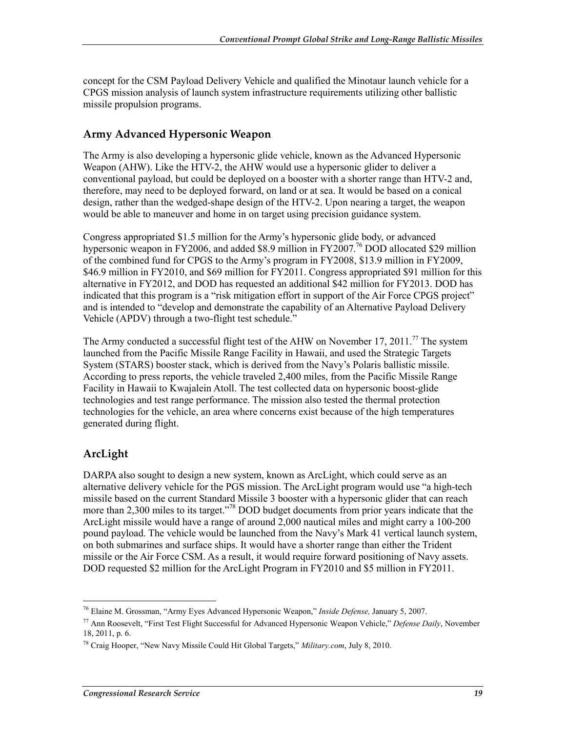concept for the CSM Payload Delivery Vehicle and qualified the Minotaur launch vehicle for a CPGS mission analysis of launch system infrastructure requirements utilizing other ballistic missile propulsion programs.

#### **Army Advanced Hypersonic Weapon**

The Army is also developing a hypersonic glide vehicle, known as the Advanced Hypersonic Weapon (AHW). Like the HTV-2, the AHW would use a hypersonic glider to deliver a conventional payload, but could be deployed on a booster with a shorter range than HTV-2 and, therefore, may need to be deployed forward, on land or at sea. It would be based on a conical design, rather than the wedged-shape design of the HTV-2. Upon nearing a target, the weapon would be able to maneuver and home in on target using precision guidance system.

Congress appropriated \$1.5 million for the Army's hypersonic glide body, or advanced hypersonic weapon in FY2006, and added \$8.9 million in FY2007.<sup>76</sup> DOD allocated \$29 million of the combined fund for CPGS to the Army's program in FY2008, \$13.9 million in FY2009, \$46.9 million in FY2010, and \$69 million for FY2011. Congress appropriated \$91 million for this alternative in FY2012, and DOD has requested an additional \$42 million for FY2013. DOD has indicated that this program is a "risk mitigation effort in support of the Air Force CPGS project" and is intended to "develop and demonstrate the capability of an Alternative Payload Delivery Vehicle (APDV) through a two-flight test schedule."

The Army conducted a successful flight test of the AHW on November 17, 2011.<sup>77</sup> The system launched from the Pacific Missile Range Facility in Hawaii, and used the Strategic Targets System (STARS) booster stack, which is derived from the Navy's Polaris ballistic missile. According to press reports, the vehicle traveled 2,400 miles, from the Pacific Missile Range Facility in Hawaii to Kwajalein Atoll. The test collected data on hypersonic boost-glide technologies and test range performance. The mission also tested the thermal protection technologies for the vehicle, an area where concerns exist because of the high temperatures generated during flight.

#### **ArcLight**

1

DARPA also sought to design a new system, known as ArcLight, which could serve as an alternative delivery vehicle for the PGS mission. The ArcLight program would use "a high-tech missile based on the current Standard Missile 3 booster with a hypersonic glider that can reach more than 2,300 miles to its target."<sup>78</sup> DOD budget documents from prior years indicate that the ArcLight missile would have a range of around 2,000 nautical miles and might carry a 100-200 pound payload. The vehicle would be launched from the Navy's Mark 41 vertical launch system, on both submarines and surface ships. It would have a shorter range than either the Trident missile or the Air Force CSM. As a result, it would require forward positioning of Navy assets. DOD requested \$2 million for the ArcLight Program in FY2010 and \$5 million in FY2011.

<sup>76</sup> Elaine M. Grossman, "Army Eyes Advanced Hypersonic Weapon," *Inside Defense,* January 5, 2007.

<sup>77</sup> Ann Roosevelt, "First Test Flight Successful for Advanced Hypersonic Weapon Vehicle," *Defense Daily*, November 18, 2011, p. 6.

<sup>78</sup> Craig Hooper, "New Navy Missile Could Hit Global Targets," *Military.com*, July 8, 2010.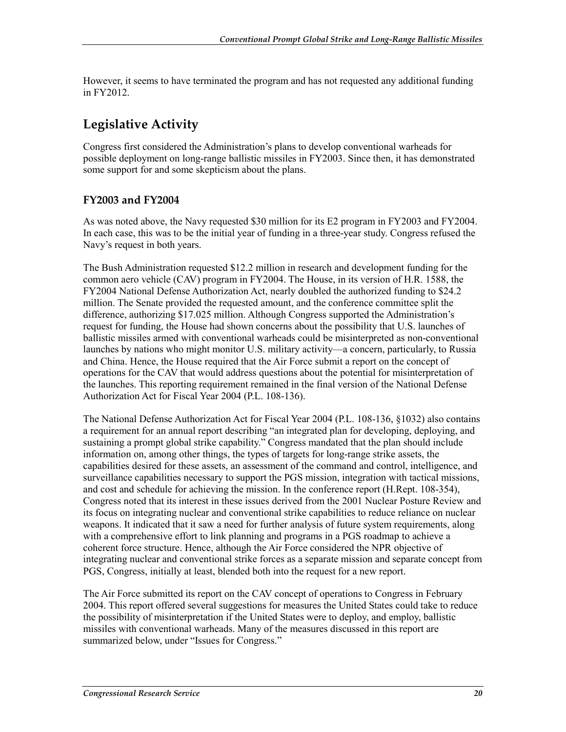However, it seems to have terminated the program and has not requested any additional funding in FY2012.

## **Legislative Activity**

Congress first considered the Administration's plans to develop conventional warheads for possible deployment on long-range ballistic missiles in FY2003. Since then, it has demonstrated some support for and some skepticism about the plans.

#### **FY2003 and FY2004**

As was noted above, the Navy requested \$30 million for its E2 program in FY2003 and FY2004. In each case, this was to be the initial year of funding in a three-year study. Congress refused the Navy's request in both years.

The Bush Administration requested \$12.2 million in research and development funding for the common aero vehicle (CAV) program in FY2004. The House, in its version of H.R. 1588, the FY2004 National Defense Authorization Act, nearly doubled the authorized funding to \$24.2 million. The Senate provided the requested amount, and the conference committee split the difference, authorizing \$17.025 million. Although Congress supported the Administration's request for funding, the House had shown concerns about the possibility that U.S. launches of ballistic missiles armed with conventional warheads could be misinterpreted as non-conventional launches by nations who might monitor U.S. military activity—a concern, particularly, to Russia and China. Hence, the House required that the Air Force submit a report on the concept of operations for the CAV that would address questions about the potential for misinterpretation of the launches. This reporting requirement remained in the final version of the National Defense Authorization Act for Fiscal Year 2004 (P.L. 108-136).

The National Defense Authorization Act for Fiscal Year 2004 (P.L. 108-136, §1032) also contains a requirement for an annual report describing "an integrated plan for developing, deploying, and sustaining a prompt global strike capability." Congress mandated that the plan should include information on, among other things, the types of targets for long-range strike assets, the capabilities desired for these assets, an assessment of the command and control, intelligence, and surveillance capabilities necessary to support the PGS mission, integration with tactical missions, and cost and schedule for achieving the mission. In the conference report (H.Rept. 108-354), Congress noted that its interest in these issues derived from the 2001 Nuclear Posture Review and its focus on integrating nuclear and conventional strike capabilities to reduce reliance on nuclear weapons. It indicated that it saw a need for further analysis of future system requirements, along with a comprehensive effort to link planning and programs in a PGS roadmap to achieve a coherent force structure. Hence, although the Air Force considered the NPR objective of integrating nuclear and conventional strike forces as a separate mission and separate concept from PGS, Congress, initially at least, blended both into the request for a new report.

The Air Force submitted its report on the CAV concept of operations to Congress in February 2004. This report offered several suggestions for measures the United States could take to reduce the possibility of misinterpretation if the United States were to deploy, and employ, ballistic missiles with conventional warheads. Many of the measures discussed in this report are summarized below, under "Issues for Congress."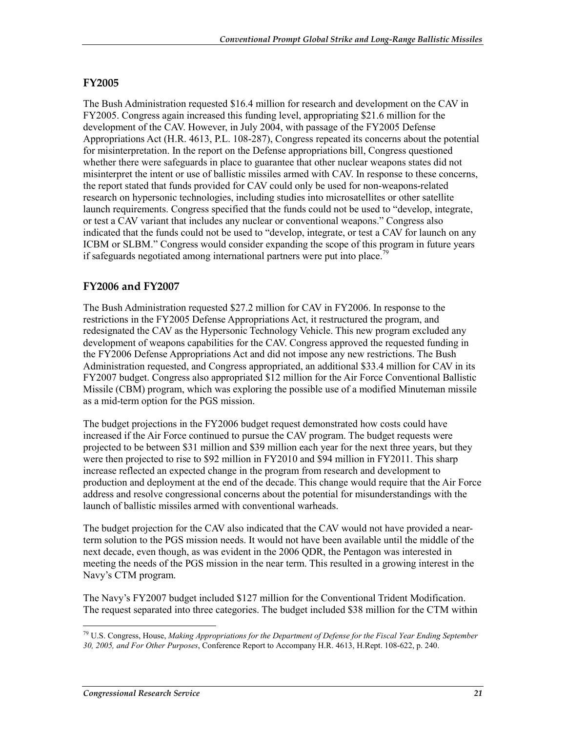#### **FY2005**

The Bush Administration requested \$16.4 million for research and development on the CAV in FY2005. Congress again increased this funding level, appropriating \$21.6 million for the development of the CAV. However, in July 2004, with passage of the FY2005 Defense Appropriations Act (H.R. 4613, P.L. 108-287), Congress repeated its concerns about the potential for misinterpretation. In the report on the Defense appropriations bill, Congress questioned whether there were safeguards in place to guarantee that other nuclear weapons states did not misinterpret the intent or use of ballistic missiles armed with CAV. In response to these concerns, the report stated that funds provided for CAV could only be used for non-weapons-related research on hypersonic technologies, including studies into microsatellites or other satellite launch requirements. Congress specified that the funds could not be used to "develop, integrate, or test a CAV variant that includes any nuclear or conventional weapons." Congress also indicated that the funds could not be used to "develop, integrate, or test a CAV for launch on any ICBM or SLBM." Congress would consider expanding the scope of this program in future years if safeguards negotiated among international partners were put into place.<sup>79</sup>

#### **FY2006 and FY2007**

The Bush Administration requested \$27.2 million for CAV in FY2006. In response to the restrictions in the FY2005 Defense Appropriations Act, it restructured the program, and redesignated the CAV as the Hypersonic Technology Vehicle. This new program excluded any development of weapons capabilities for the CAV. Congress approved the requested funding in the FY2006 Defense Appropriations Act and did not impose any new restrictions. The Bush Administration requested, and Congress appropriated, an additional \$33.4 million for CAV in its FY2007 budget. Congress also appropriated \$12 million for the Air Force Conventional Ballistic Missile (CBM) program, which was exploring the possible use of a modified Minuteman missile as a mid-term option for the PGS mission.

The budget projections in the FY2006 budget request demonstrated how costs could have increased if the Air Force continued to pursue the CAV program. The budget requests were projected to be between \$31 million and \$39 million each year for the next three years, but they were then projected to rise to \$92 million in FY2010 and \$94 million in FY2011. This sharp increase reflected an expected change in the program from research and development to production and deployment at the end of the decade. This change would require that the Air Force address and resolve congressional concerns about the potential for misunderstandings with the launch of ballistic missiles armed with conventional warheads.

The budget projection for the CAV also indicated that the CAV would not have provided a nearterm solution to the PGS mission needs. It would not have been available until the middle of the next decade, even though, as was evident in the 2006 QDR, the Pentagon was interested in meeting the needs of the PGS mission in the near term. This resulted in a growing interest in the Navy's CTM program.

The Navy's FY2007 budget included \$127 million for the Conventional Trident Modification. The request separated into three categories. The budget included \$38 million for the CTM within

<sup>1</sup> 79 U.S. Congress, House, *Making Appropriations for the Department of Defense for the Fiscal Year Ending September 30, 2005, and For Other Purposes*, Conference Report to Accompany H.R. 4613, H.Rept. 108-622, p. 240.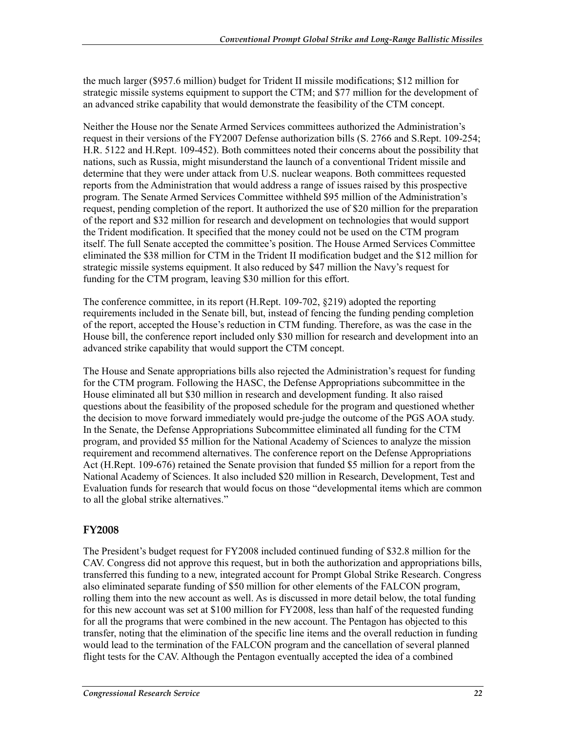the much larger (\$957.6 million) budget for Trident II missile modifications; \$12 million for strategic missile systems equipment to support the CTM; and \$77 million for the development of an advanced strike capability that would demonstrate the feasibility of the CTM concept.

Neither the House nor the Senate Armed Services committees authorized the Administration's request in their versions of the FY2007 Defense authorization bills (S. 2766 and S.Rept. 109-254; H.R. 5122 and H.Rept. 109-452). Both committees noted their concerns about the possibility that nations, such as Russia, might misunderstand the launch of a conventional Trident missile and determine that they were under attack from U.S. nuclear weapons. Both committees requested reports from the Administration that would address a range of issues raised by this prospective program. The Senate Armed Services Committee withheld \$95 million of the Administration's request, pending completion of the report. It authorized the use of \$20 million for the preparation of the report and \$32 million for research and development on technologies that would support the Trident modification. It specified that the money could not be used on the CTM program itself. The full Senate accepted the committee's position. The House Armed Services Committee eliminated the \$38 million for CTM in the Trident II modification budget and the \$12 million for strategic missile systems equipment. It also reduced by \$47 million the Navy's request for funding for the CTM program, leaving \$30 million for this effort.

The conference committee, in its report (H.Rept. 109-702, §219) adopted the reporting requirements included in the Senate bill, but, instead of fencing the funding pending completion of the report, accepted the House's reduction in CTM funding. Therefore, as was the case in the House bill, the conference report included only \$30 million for research and development into an advanced strike capability that would support the CTM concept.

The House and Senate appropriations bills also rejected the Administration's request for funding for the CTM program. Following the HASC, the Defense Appropriations subcommittee in the House eliminated all but \$30 million in research and development funding. It also raised questions about the feasibility of the proposed schedule for the program and questioned whether the decision to move forward immediately would pre-judge the outcome of the PGS AOA study. In the Senate, the Defense Appropriations Subcommittee eliminated all funding for the CTM program, and provided \$5 million for the National Academy of Sciences to analyze the mission requirement and recommend alternatives. The conference report on the Defense Appropriations Act (H.Rept. 109-676) retained the Senate provision that funded \$5 million for a report from the National Academy of Sciences. It also included \$20 million in Research, Development, Test and Evaluation funds for research that would focus on those "developmental items which are common to all the global strike alternatives."

#### **FY2008**

The President's budget request for FY2008 included continued funding of \$32.8 million for the CAV. Congress did not approve this request, but in both the authorization and appropriations bills, transferred this funding to a new, integrated account for Prompt Global Strike Research. Congress also eliminated separate funding of \$50 million for other elements of the FALCON program, rolling them into the new account as well. As is discussed in more detail below, the total funding for this new account was set at \$100 million for FY2008, less than half of the requested funding for all the programs that were combined in the new account. The Pentagon has objected to this transfer, noting that the elimination of the specific line items and the overall reduction in funding would lead to the termination of the FALCON program and the cancellation of several planned flight tests for the CAV. Although the Pentagon eventually accepted the idea of a combined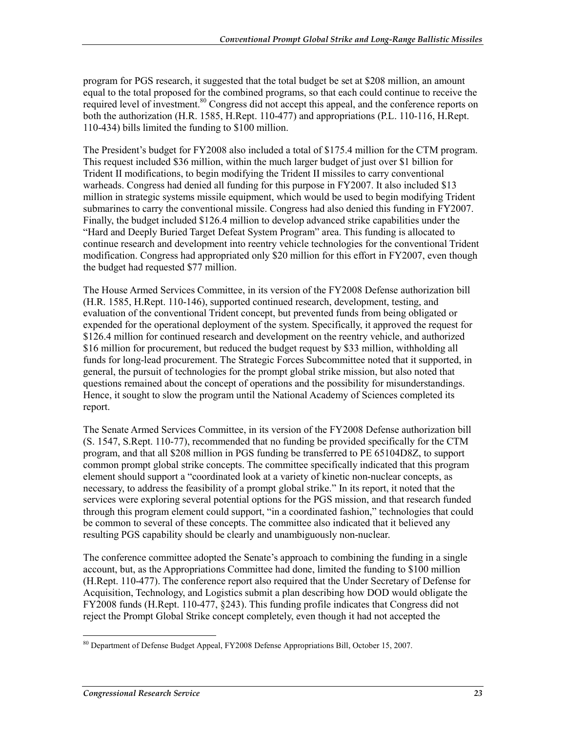program for PGS research, it suggested that the total budget be set at \$208 million, an amount equal to the total proposed for the combined programs, so that each could continue to receive the required level of investment.<sup>80</sup> Congress did not accept this appeal, and the conference reports on both the authorization (H.R. 1585, H.Rept. 110-477) and appropriations (P.L. 110-116, H.Rept. 110-434) bills limited the funding to \$100 million.

The President's budget for FY2008 also included a total of \$175.4 million for the CTM program. This request included \$36 million, within the much larger budget of just over \$1 billion for Trident II modifications, to begin modifying the Trident II missiles to carry conventional warheads. Congress had denied all funding for this purpose in FY2007. It also included \$13 million in strategic systems missile equipment, which would be used to begin modifying Trident submarines to carry the conventional missile. Congress had also denied this funding in FY2007. Finally, the budget included \$126.4 million to develop advanced strike capabilities under the "Hard and Deeply Buried Target Defeat System Program" area. This funding is allocated to continue research and development into reentry vehicle technologies for the conventional Trident modification. Congress had appropriated only \$20 million for this effort in FY2007, even though the budget had requested \$77 million.

The House Armed Services Committee, in its version of the FY2008 Defense authorization bill (H.R. 1585, H.Rept. 110-146), supported continued research, development, testing, and evaluation of the conventional Trident concept, but prevented funds from being obligated or expended for the operational deployment of the system. Specifically, it approved the request for \$126.4 million for continued research and development on the reentry vehicle, and authorized \$16 million for procurement, but reduced the budget request by \$33 million, withholding all funds for long-lead procurement. The Strategic Forces Subcommittee noted that it supported, in general, the pursuit of technologies for the prompt global strike mission, but also noted that questions remained about the concept of operations and the possibility for misunderstandings. Hence, it sought to slow the program until the National Academy of Sciences completed its report.

The Senate Armed Services Committee, in its version of the FY2008 Defense authorization bill (S. 1547, S.Rept. 110-77), recommended that no funding be provided specifically for the CTM program, and that all \$208 million in PGS funding be transferred to PE 65104D8Z, to support common prompt global strike concepts. The committee specifically indicated that this program element should support a "coordinated look at a variety of kinetic non-nuclear concepts, as necessary, to address the feasibility of a prompt global strike." In its report, it noted that the services were exploring several potential options for the PGS mission, and that research funded through this program element could support, "in a coordinated fashion," technologies that could be common to several of these concepts. The committee also indicated that it believed any resulting PGS capability should be clearly and unambiguously non-nuclear.

The conference committee adopted the Senate's approach to combining the funding in a single account, but, as the Appropriations Committee had done, limited the funding to \$100 million (H.Rept. 110-477). The conference report also required that the Under Secretary of Defense for Acquisition, Technology, and Logistics submit a plan describing how DOD would obligate the FY2008 funds (H.Rept. 110-477, §243). This funding profile indicates that Congress did not reject the Prompt Global Strike concept completely, even though it had not accepted the

<sup>&</sup>lt;u>.</u> <sup>80</sup> Department of Defense Budget Appeal, FY2008 Defense Appropriations Bill, October 15, 2007.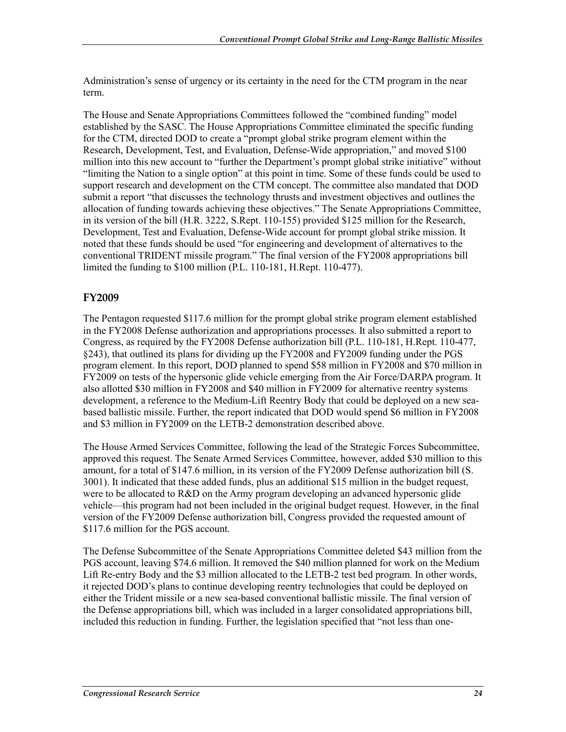Administration's sense of urgency or its certainty in the need for the CTM program in the near term.

The House and Senate Appropriations Committees followed the "combined funding" model established by the SASC. The House Appropriations Committee eliminated the specific funding for the CTM, directed DOD to create a "prompt global strike program element within the Research, Development, Test, and Evaluation, Defense-Wide appropriation," and moved \$100 million into this new account to "further the Department's prompt global strike initiative" without "limiting the Nation to a single option" at this point in time. Some of these funds could be used to support research and development on the CTM concept. The committee also mandated that DOD submit a report "that discusses the technology thrusts and investment objectives and outlines the allocation of funding towards achieving these objectives." The Senate Appropriations Committee, in its version of the bill (H.R. 3222, S.Rept. 110-155) provided \$125 million for the Research, Development, Test and Evaluation, Defense-Wide account for prompt global strike mission. It noted that these funds should be used "for engineering and development of alternatives to the conventional TRIDENT missile program." The final version of the FY2008 appropriations bill limited the funding to \$100 million (P.L. 110-181, H.Rept. 110-477).

#### **FY2009**

The Pentagon requested \$117.6 million for the prompt global strike program element established in the FY2008 Defense authorization and appropriations processes. It also submitted a report to Congress, as required by the FY2008 Defense authorization bill (P.L. 110-181, H.Rept. 110-477, §243), that outlined its plans for dividing up the FY2008 and FY2009 funding under the PGS program element. In this report, DOD planned to spend \$58 million in FY2008 and \$70 million in FY2009 on tests of the hypersonic glide vehicle emerging from the Air Force/DARPA program. It also allotted \$30 million in FY2008 and \$40 million in FY2009 for alternative reentry systems development, a reference to the Medium-Lift Reentry Body that could be deployed on a new seabased ballistic missile. Further, the report indicated that DOD would spend \$6 million in FY2008 and \$3 million in FY2009 on the LETB-2 demonstration described above.

The House Armed Services Committee, following the lead of the Strategic Forces Subcommittee, approved this request. The Senate Armed Services Committee, however, added \$30 million to this amount, for a total of \$147.6 million, in its version of the FY2009 Defense authorization bill (S. 3001). It indicated that these added funds, plus an additional \$15 million in the budget request, were to be allocated to R&D on the Army program developing an advanced hypersonic glide vehicle—this program had not been included in the original budget request. However, in the final version of the FY2009 Defense authorization bill, Congress provided the requested amount of \$117.6 million for the PGS account.

The Defense Subcommittee of the Senate Appropriations Committee deleted \$43 million from the PGS account, leaving \$74.6 million. It removed the \$40 million planned for work on the Medium Lift Re-entry Body and the \$3 million allocated to the LETB-2 test bed program. In other words, it rejected DOD's plans to continue developing reentry technologies that could be deployed on either the Trident missile or a new sea-based conventional ballistic missile. The final version of the Defense appropriations bill, which was included in a larger consolidated appropriations bill, included this reduction in funding. Further, the legislation specified that "not less than one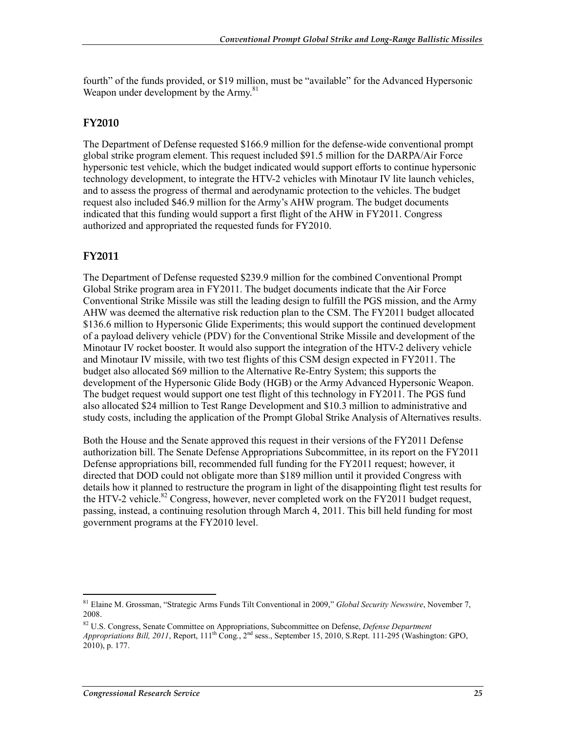fourth" of the funds provided, or \$19 million, must be "available" for the Advanced Hypersonic Weapon under development by the Army.<sup>81</sup>

#### **FY2010**

The Department of Defense requested \$166.9 million for the defense-wide conventional prompt global strike program element. This request included \$91.5 million for the DARPA/Air Force hypersonic test vehicle, which the budget indicated would support efforts to continue hypersonic technology development, to integrate the HTV-2 vehicles with Minotaur IV lite launch vehicles, and to assess the progress of thermal and aerodynamic protection to the vehicles. The budget request also included \$46.9 million for the Army's AHW program. The budget documents indicated that this funding would support a first flight of the AHW in FY2011. Congress authorized and appropriated the requested funds for FY2010.

#### **FY2011**

The Department of Defense requested \$239.9 million for the combined Conventional Prompt Global Strike program area in FY2011. The budget documents indicate that the Air Force Conventional Strike Missile was still the leading design to fulfill the PGS mission, and the Army AHW was deemed the alternative risk reduction plan to the CSM. The FY2011 budget allocated \$136.6 million to Hypersonic Glide Experiments; this would support the continued development of a payload delivery vehicle (PDV) for the Conventional Strike Missile and development of the Minotaur IV rocket booster. It would also support the integration of the HTV-2 delivery vehicle and Minotaur IV missile, with two test flights of this CSM design expected in FY2011. The budget also allocated \$69 million to the Alternative Re-Entry System; this supports the development of the Hypersonic Glide Body (HGB) or the Army Advanced Hypersonic Weapon. The budget request would support one test flight of this technology in FY2011. The PGS fund also allocated \$24 million to Test Range Development and \$10.3 million to administrative and study costs, including the application of the Prompt Global Strike Analysis of Alternatives results.

Both the House and the Senate approved this request in their versions of the FY2011 Defense authorization bill. The Senate Defense Appropriations Subcommittee, in its report on the FY2011 Defense appropriations bill, recommended full funding for the FY2011 request; however, it directed that DOD could not obligate more than \$189 million until it provided Congress with details how it planned to restructure the program in light of the disappointing flight test results for the HTV-2 vehicle.<sup>82</sup> Congress, however, never completed work on the FY2011 budget request, passing, instead, a continuing resolution through March 4, 2011. This bill held funding for most government programs at the FY2010 level.

<sup>1</sup> 81 Elaine M. Grossman, "Strategic Arms Funds Tilt Conventional in 2009," *Global Security Newswire*, November 7, 2008.

<sup>82</sup> U.S. Congress, Senate Committee on Appropriations, Subcommittee on Defense, *Defense Department Appropriations Bill, 2011*, Report, 111<sup>th</sup> Cong., 2<sup>nd</sup> sess., September 15, 2010, S.Rept. 111-295 (Washington: GPO,  $2010$ , p. 177.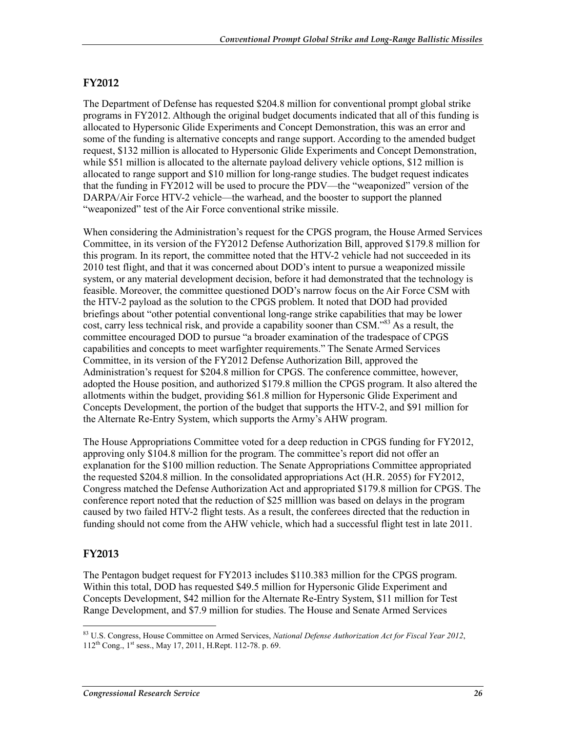#### **FY2012**

The Department of Defense has requested \$204.8 million for conventional prompt global strike programs in FY2012. Although the original budget documents indicated that all of this funding is allocated to Hypersonic Glide Experiments and Concept Demonstration, this was an error and some of the funding is alternative concepts and range support. According to the amended budget request, \$132 million is allocated to Hypersonic Glide Experiments and Concept Demonstration, while \$51 million is allocated to the alternate payload delivery vehicle options, \$12 million is allocated to range support and \$10 million for long-range studies. The budget request indicates that the funding in FY2012 will be used to procure the PDV—the "weaponized" version of the DARPA/Air Force HTV-2 vehicle—the warhead, and the booster to support the planned "weaponized" test of the Air Force conventional strike missile.

When considering the Administration's request for the CPGS program, the House Armed Services Committee, in its version of the FY2012 Defense Authorization Bill, approved \$179.8 million for this program. In its report, the committee noted that the HTV-2 vehicle had not succeeded in its 2010 test flight, and that it was concerned about DOD's intent to pursue a weaponized missile system, or any material development decision, before it had demonstrated that the technology is feasible. Moreover, the committee questioned DOD's narrow focus on the Air Force CSM with the HTV-2 payload as the solution to the CPGS problem. It noted that DOD had provided briefings about "other potential conventional long-range strike capabilities that may be lower cost, carry less technical risk, and provide a capability sooner than CSM.<sup>583</sup> As a result, the committee encouraged DOD to pursue "a broader examination of the tradespace of CPGS capabilities and concepts to meet warfighter requirements." The Senate Armed Services Committee, in its version of the FY2012 Defense Authorization Bill, approved the Administration's request for \$204.8 million for CPGS. The conference committee, however, adopted the House position, and authorized \$179.8 million the CPGS program. It also altered the allotments within the budget, providing \$61.8 million for Hypersonic Glide Experiment and Concepts Development, the portion of the budget that supports the HTV-2, and \$91 million for the Alternate Re-Entry System, which supports the Army's AHW program.

The House Appropriations Committee voted for a deep reduction in CPGS funding for FY2012, approving only \$104.8 million for the program. The committee's report did not offer an explanation for the \$100 million reduction. The Senate Appropriations Committee appropriated the requested \$204.8 million. In the consolidated appropriations Act (H.R. 2055) for FY2012, Congress matched the Defense Authorization Act and appropriated \$179.8 million for CPGS. The conference report noted that the reduction of \$25 milllion was based on delays in the program caused by two failed HTV-2 flight tests. As a result, the conferees directed that the reduction in funding should not come from the AHW vehicle, which had a successful flight test in late 2011.

#### **FY2013**

The Pentagon budget request for FY2013 includes \$110.383 million for the CPGS program. Within this total, DOD has requested \$49.5 million for Hypersonic Glide Experiment and Concepts Development, \$42 million for the Alternate Re-Entry System, \$11 million for Test Range Development, and \$7.9 million for studies. The House and Senate Armed Services

<sup>1</sup> 83 U.S. Congress, House Committee on Armed Services, *National Defense Authorization Act for Fiscal Year 2012*, 112th Cong., 1st sess., May 17, 2011, H.Rept. 112-78. p. 69.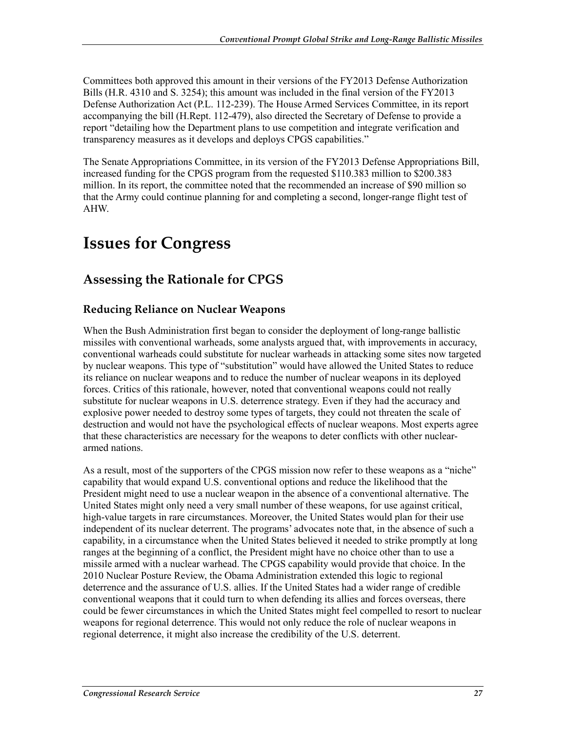Committees both approved this amount in their versions of the FY2013 Defense Authorization Bills (H.R. 4310 and S. 3254); this amount was included in the final version of the FY2013 Defense Authorization Act (P.L. 112-239). The House Armed Services Committee, in its report accompanying the bill (H.Rept. 112-479), also directed the Secretary of Defense to provide a report "detailing how the Department plans to use competition and integrate verification and transparency measures as it develops and deploys CPGS capabilities."

The Senate Appropriations Committee, in its version of the FY2013 Defense Appropriations Bill, increased funding for the CPGS program from the requested \$110.383 million to \$200.383 million. In its report, the committee noted that the recommended an increase of \$90 million so that the Army could continue planning for and completing a second, longer-range flight test of AHW.

## **Issues for Congress**

## **Assessing the Rationale for CPGS**

#### **Reducing Reliance on Nuclear Weapons**

When the Bush Administration first began to consider the deployment of long-range ballistic missiles with conventional warheads, some analysts argued that, with improvements in accuracy, conventional warheads could substitute for nuclear warheads in attacking some sites now targeted by nuclear weapons. This type of "substitution" would have allowed the United States to reduce its reliance on nuclear weapons and to reduce the number of nuclear weapons in its deployed forces. Critics of this rationale, however, noted that conventional weapons could not really substitute for nuclear weapons in U.S. deterrence strategy. Even if they had the accuracy and explosive power needed to destroy some types of targets, they could not threaten the scale of destruction and would not have the psychological effects of nuclear weapons. Most experts agree that these characteristics are necessary for the weapons to deter conflicts with other nucleararmed nations.

As a result, most of the supporters of the CPGS mission now refer to these weapons as a "niche" capability that would expand U.S. conventional options and reduce the likelihood that the President might need to use a nuclear weapon in the absence of a conventional alternative. The United States might only need a very small number of these weapons, for use against critical, high-value targets in rare circumstances. Moreover, the United States would plan for their use independent of its nuclear deterrent. The programs' advocates note that, in the absence of such a capability, in a circumstance when the United States believed it needed to strike promptly at long ranges at the beginning of a conflict, the President might have no choice other than to use a missile armed with a nuclear warhead. The CPGS capability would provide that choice. In the 2010 Nuclear Posture Review, the Obama Administration extended this logic to regional deterrence and the assurance of U.S. allies. If the United States had a wider range of credible conventional weapons that it could turn to when defending its allies and forces overseas, there could be fewer circumstances in which the United States might feel compelled to resort to nuclear weapons for regional deterrence. This would not only reduce the role of nuclear weapons in regional deterrence, it might also increase the credibility of the U.S. deterrent.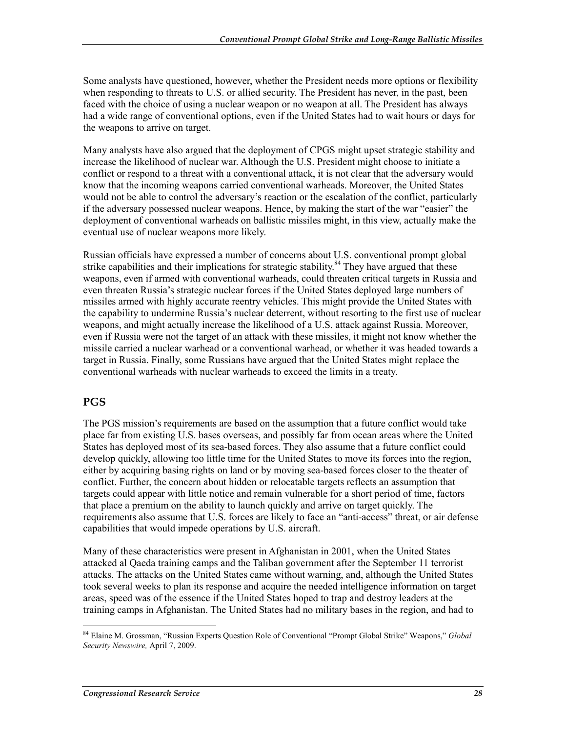Some analysts have questioned, however, whether the President needs more options or flexibility when responding to threats to U.S. or allied security. The President has never, in the past, been faced with the choice of using a nuclear weapon or no weapon at all. The President has always had a wide range of conventional options, even if the United States had to wait hours or days for the weapons to arrive on target.

Many analysts have also argued that the deployment of CPGS might upset strategic stability and increase the likelihood of nuclear war. Although the U.S. President might choose to initiate a conflict or respond to a threat with a conventional attack, it is not clear that the adversary would know that the incoming weapons carried conventional warheads. Moreover, the United States would not be able to control the adversary's reaction or the escalation of the conflict, particularly if the adversary possessed nuclear weapons. Hence, by making the start of the war "easier" the deployment of conventional warheads on ballistic missiles might, in this view, actually make the eventual use of nuclear weapons more likely.

Russian officials have expressed a number of concerns about U.S. conventional prompt global strike capabilities and their implications for strategic stability.<sup>84</sup> They have argued that these weapons, even if armed with conventional warheads, could threaten critical targets in Russia and even threaten Russia's strategic nuclear forces if the United States deployed large numbers of missiles armed with highly accurate reentry vehicles. This might provide the United States with the capability to undermine Russia's nuclear deterrent, without resorting to the first use of nuclear weapons, and might actually increase the likelihood of a U.S. attack against Russia. Moreover, even if Russia were not the target of an attack with these missiles, it might not know whether the missile carried a nuclear warhead or a conventional warhead, or whether it was headed towards a target in Russia. Finally, some Russians have argued that the United States might replace the conventional warheads with nuclear warheads to exceed the limits in a treaty.

#### **PGS**

The PGS mission's requirements are based on the assumption that a future conflict would take place far from existing U.S. bases overseas, and possibly far from ocean areas where the United States has deployed most of its sea-based forces. They also assume that a future conflict could develop quickly, allowing too little time for the United States to move its forces into the region, either by acquiring basing rights on land or by moving sea-based forces closer to the theater of conflict. Further, the concern about hidden or relocatable targets reflects an assumption that targets could appear with little notice and remain vulnerable for a short period of time, factors that place a premium on the ability to launch quickly and arrive on target quickly. The requirements also assume that U.S. forces are likely to face an "anti-access" threat, or air defense capabilities that would impede operations by U.S. aircraft.

Many of these characteristics were present in Afghanistan in 2001, when the United States attacked al Qaeda training camps and the Taliban government after the September 11 terrorist attacks. The attacks on the United States came without warning, and, although the United States took several weeks to plan its response and acquire the needed intelligence information on target areas, speed was of the essence if the United States hoped to trap and destroy leaders at the training camps in Afghanistan. The United States had no military bases in the region, and had to

<sup>1</sup> 84 Elaine M. Grossman, "Russian Experts Question Role of Conventional "Prompt Global Strike" Weapons," *Global Security Newswire,* April 7, 2009.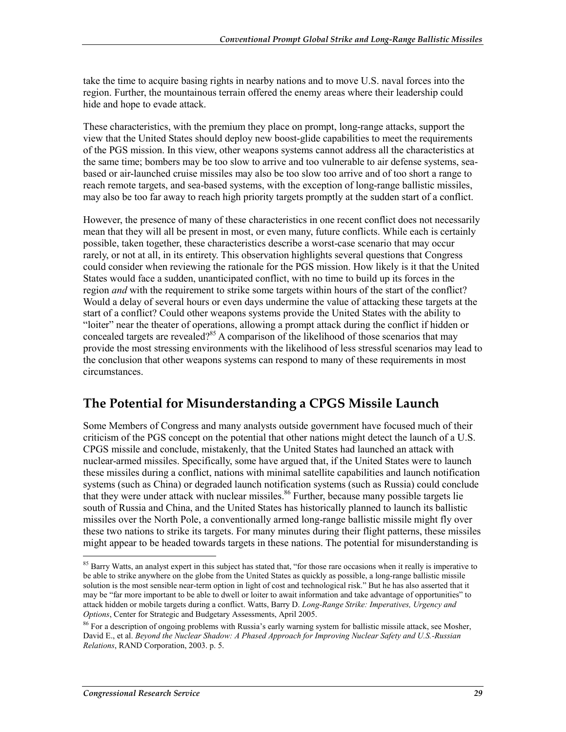take the time to acquire basing rights in nearby nations and to move U.S. naval forces into the region. Further, the mountainous terrain offered the enemy areas where their leadership could hide and hope to evade attack.

These characteristics, with the premium they place on prompt, long-range attacks, support the view that the United States should deploy new boost-glide capabilities to meet the requirements of the PGS mission. In this view, other weapons systems cannot address all the characteristics at the same time; bombers may be too slow to arrive and too vulnerable to air defense systems, seabased or air-launched cruise missiles may also be too slow too arrive and of too short a range to reach remote targets, and sea-based systems, with the exception of long-range ballistic missiles, may also be too far away to reach high priority targets promptly at the sudden start of a conflict.

However, the presence of many of these characteristics in one recent conflict does not necessarily mean that they will all be present in most, or even many, future conflicts. While each is certainly possible, taken together, these characteristics describe a worst-case scenario that may occur rarely, or not at all, in its entirety. This observation highlights several questions that Congress could consider when reviewing the rationale for the PGS mission. How likely is it that the United States would face a sudden, unanticipated conflict, with no time to build up its forces in the region *and* with the requirement to strike some targets within hours of the start of the conflict? Would a delay of several hours or even days undermine the value of attacking these targets at the start of a conflict? Could other weapons systems provide the United States with the ability to "loiter" near the theater of operations, allowing a prompt attack during the conflict if hidden or concealed targets are revealed?<sup>85</sup> A comparison of the likelihood of those scenarios that may provide the most stressing environments with the likelihood of less stressful scenarios may lead to the conclusion that other weapons systems can respond to many of these requirements in most circumstances.

## **The Potential for Misunderstanding a CPGS Missile Launch**

Some Members of Congress and many analysts outside government have focused much of their criticism of the PGS concept on the potential that other nations might detect the launch of a U.S. CPGS missile and conclude, mistakenly, that the United States had launched an attack with nuclear-armed missiles. Specifically, some have argued that, if the United States were to launch these missiles during a conflict, nations with minimal satellite capabilities and launch notification systems (such as China) or degraded launch notification systems (such as Russia) could conclude that they were under attack with nuclear missiles.<sup>86</sup> Further, because many possible targets lie south of Russia and China, and the United States has historically planned to launch its ballistic missiles over the North Pole, a conventionally armed long-range ballistic missile might fly over these two nations to strike its targets. For many minutes during their flight patterns, these missiles might appear to be headed towards targets in these nations. The potential for misunderstanding is

<sup>&</sup>lt;sup>85</sup> Barry Watts, an analyst expert in this subject has stated that, "for those rare occasions when it really is imperative to be able to strike anywhere on the globe from the United States as quickly as possible, a long-range ballistic missile solution is the most sensible near-term option in light of cost and technological risk." But he has also asserted that it may be "far more important to be able to dwell or loiter to await information and take advantage of opportunities" to attack hidden or mobile targets during a conflict. Watts, Barry D. *Long-Range Strike: Imperatives, Urgency and Options*, Center for Strategic and Budgetary Assessments, April 2005.

<sup>&</sup>lt;sup>86</sup> For a description of ongoing problems with Russia's early warning system for ballistic missile attack, see Mosher, David E., et al. *Beyond the Nuclear Shadow: A Phased Approach for Improving Nuclear Safety and U.S.-Russian Relations*, RAND Corporation, 2003. p. 5.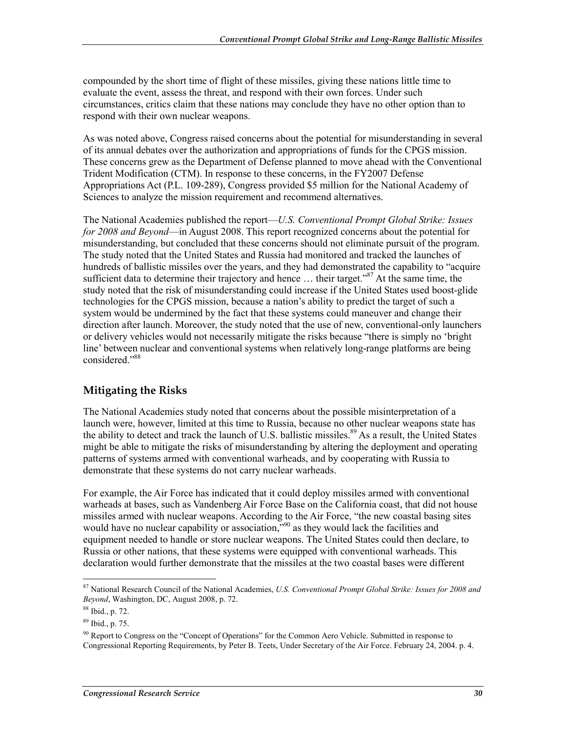compounded by the short time of flight of these missiles, giving these nations little time to evaluate the event, assess the threat, and respond with their own forces. Under such circumstances, critics claim that these nations may conclude they have no other option than to respond with their own nuclear weapons.

As was noted above, Congress raised concerns about the potential for misunderstanding in several of its annual debates over the authorization and appropriations of funds for the CPGS mission. These concerns grew as the Department of Defense planned to move ahead with the Conventional Trident Modification (CTM). In response to these concerns, in the FY2007 Defense Appropriations Act (P.L. 109-289), Congress provided \$5 million for the National Academy of Sciences to analyze the mission requirement and recommend alternatives.

The National Academies published the report—*U.S. Conventional Prompt Global Strike: Issues for 2008 and Beyond*—in August 2008. This report recognized concerns about the potential for misunderstanding, but concluded that these concerns should not eliminate pursuit of the program. The study noted that the United States and Russia had monitored and tracked the launches of hundreds of ballistic missiles over the years, and they had demonstrated the capability to "acquire sufficient data to determine their trajectory and hence ... their target."<sup>87</sup> At the same time, the study noted that the risk of misunderstanding could increase if the United States used boost-glide technologies for the CPGS mission, because a nation's ability to predict the target of such a system would be undermined by the fact that these systems could maneuver and change their direction after launch. Moreover, the study noted that the use of new, conventional-only launchers or delivery vehicles would not necessarily mitigate the risks because "there is simply no 'bright line' between nuclear and conventional systems when relatively long-range platforms are being considered."88

#### **Mitigating the Risks**

The National Academies study noted that concerns about the possible misinterpretation of a launch were, however, limited at this time to Russia, because no other nuclear weapons state has the ability to detect and track the launch of U.S. ballistic missiles.<sup>89</sup> As a result, the United States might be able to mitigate the risks of misunderstanding by altering the deployment and operating patterns of systems armed with conventional warheads, and by cooperating with Russia to demonstrate that these systems do not carry nuclear warheads.

For example, the Air Force has indicated that it could deploy missiles armed with conventional warheads at bases, such as Vandenberg Air Force Base on the California coast, that did not house missiles armed with nuclear weapons. According to the Air Force, "the new coastal basing sites would have no nuclear capability or association,<sup>"90</sup> as they would lack the facilities and equipment needed to handle or store nuclear weapons. The United States could then declare, to Russia or other nations, that these systems were equipped with conventional warheads. This declaration would further demonstrate that the missiles at the two coastal bases were different

<sup>87</sup> National Research Council of the National Academies, *U.S. Conventional Prompt Global Strike: Issues for 2008 and Beyond*, Washington, DC, August 2008, p. 72.

<sup>88</sup> Ibid., p. 72.

<sup>89</sup> Ibid., p. 75.

<sup>&</sup>lt;sup>90</sup> Report to Congress on the "Concept of Operations" for the Common Aero Vehicle. Submitted in response to Congressional Reporting Requirements, by Peter B. Teets, Under Secretary of the Air Force. February 24, 2004. p. 4.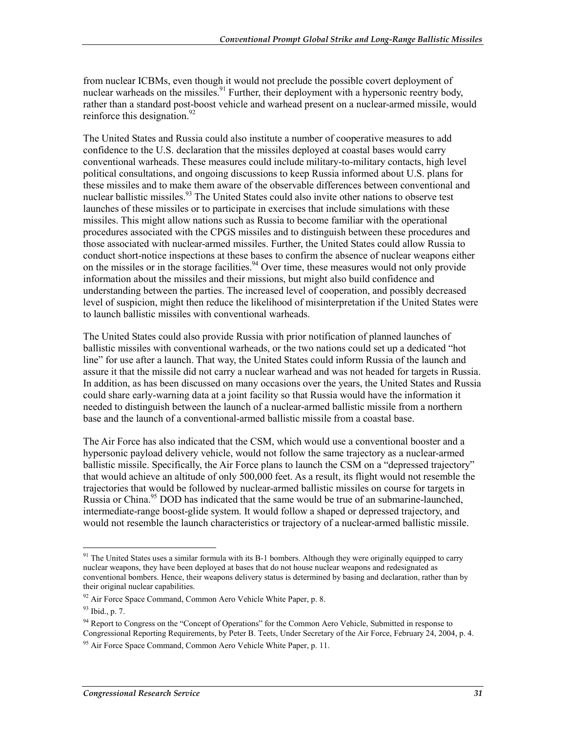from nuclear ICBMs, even though it would not preclude the possible covert deployment of nuclear warheads on the missiles.<sup>91</sup> Further, their deployment with a hypersonic reentry body, rather than a standard post-boost vehicle and warhead present on a nuclear-armed missile, would reinforce this designation. $^{92}$ 

The United States and Russia could also institute a number of cooperative measures to add confidence to the U.S. declaration that the missiles deployed at coastal bases would carry conventional warheads. These measures could include military-to-military contacts, high level political consultations, and ongoing discussions to keep Russia informed about U.S. plans for these missiles and to make them aware of the observable differences between conventional and nuclear ballistic missiles.<sup>93</sup> The United States could also invite other nations to observe test launches of these missiles or to participate in exercises that include simulations with these missiles. This might allow nations such as Russia to become familiar with the operational procedures associated with the CPGS missiles and to distinguish between these procedures and those associated with nuclear-armed missiles. Further, the United States could allow Russia to conduct short-notice inspections at these bases to confirm the absence of nuclear weapons either on the missiles or in the storage facilities.<sup>94</sup> Over time, these measures would not only provide information about the missiles and their missions, but might also build confidence and understanding between the parties. The increased level of cooperation, and possibly decreased level of suspicion, might then reduce the likelihood of misinterpretation if the United States were to launch ballistic missiles with conventional warheads.

The United States could also provide Russia with prior notification of planned launches of ballistic missiles with conventional warheads, or the two nations could set up a dedicated "hot line" for use after a launch. That way, the United States could inform Russia of the launch and assure it that the missile did not carry a nuclear warhead and was not headed for targets in Russia. In addition, as has been discussed on many occasions over the years, the United States and Russia could share early-warning data at a joint facility so that Russia would have the information it needed to distinguish between the launch of a nuclear-armed ballistic missile from a northern base and the launch of a conventional-armed ballistic missile from a coastal base.

The Air Force has also indicated that the CSM, which would use a conventional booster and a hypersonic payload delivery vehicle, would not follow the same trajectory as a nuclear-armed ballistic missile. Specifically, the Air Force plans to launch the CSM on a "depressed trajectory" that would achieve an altitude of only 500,000 feet. As a result, its flight would not resemble the trajectories that would be followed by nuclear-armed ballistic missiles on course for targets in Russia or China.<sup>95</sup> DOD has indicated that the same would be true of an submarine-launched, intermediate-range boost-glide system. It would follow a shaped or depressed trajectory, and would not resemble the launch characteristics or trajectory of a nuclear-armed ballistic missile.

 $91$  The United States uses a similar formula with its B-1 bombers. Although they were originally equipped to carry nuclear weapons, they have been deployed at bases that do not house nuclear weapons and redesignated as conventional bombers. Hence, their weapons delivery status is determined by basing and declaration, rather than by their original nuclear capabilities.

 $92$  Air Force Space Command, Common Aero Vehicle White Paper, p. 8.

<sup>93</sup> Ibid., p. 7.

<sup>&</sup>lt;sup>94</sup> Report to Congress on the "Concept of Operations" for the Common Aero Vehicle, Submitted in response to Congressional Reporting Requirements, by Peter B. Teets, Under Secretary of the Air Force, February 24, 2004, p. 4.

<sup>&</sup>lt;sup>95</sup> Air Force Space Command, Common Aero Vehicle White Paper, p. 11.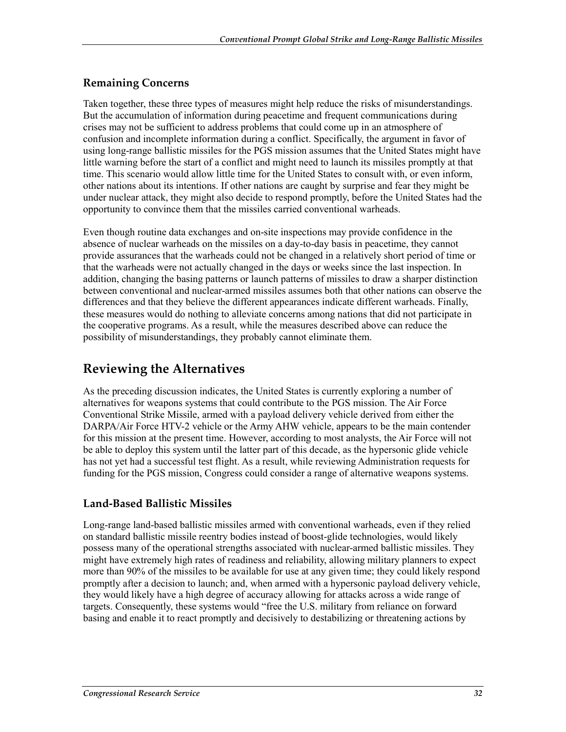#### **Remaining Concerns**

Taken together, these three types of measures might help reduce the risks of misunderstandings. But the accumulation of information during peacetime and frequent communications during crises may not be sufficient to address problems that could come up in an atmosphere of confusion and incomplete information during a conflict. Specifically, the argument in favor of using long-range ballistic missiles for the PGS mission assumes that the United States might have little warning before the start of a conflict and might need to launch its missiles promptly at that time. This scenario would allow little time for the United States to consult with, or even inform, other nations about its intentions. If other nations are caught by surprise and fear they might be under nuclear attack, they might also decide to respond promptly, before the United States had the opportunity to convince them that the missiles carried conventional warheads.

Even though routine data exchanges and on-site inspections may provide confidence in the absence of nuclear warheads on the missiles on a day-to-day basis in peacetime, they cannot provide assurances that the warheads could not be changed in a relatively short period of time or that the warheads were not actually changed in the days or weeks since the last inspection. In addition, changing the basing patterns or launch patterns of missiles to draw a sharper distinction between conventional and nuclear-armed missiles assumes both that other nations can observe the differences and that they believe the different appearances indicate different warheads. Finally, these measures would do nothing to alleviate concerns among nations that did not participate in the cooperative programs. As a result, while the measures described above can reduce the possibility of misunderstandings, they probably cannot eliminate them.

### **Reviewing the Alternatives**

As the preceding discussion indicates, the United States is currently exploring a number of alternatives for weapons systems that could contribute to the PGS mission. The Air Force Conventional Strike Missile, armed with a payload delivery vehicle derived from either the DARPA/Air Force HTV-2 vehicle or the Army AHW vehicle, appears to be the main contender for this mission at the present time. However, according to most analysts, the Air Force will not be able to deploy this system until the latter part of this decade, as the hypersonic glide vehicle has not yet had a successful test flight. As a result, while reviewing Administration requests for funding for the PGS mission, Congress could consider a range of alternative weapons systems.

#### **Land-Based Ballistic Missiles**

Long-range land-based ballistic missiles armed with conventional warheads, even if they relied on standard ballistic missile reentry bodies instead of boost-glide technologies, would likely possess many of the operational strengths associated with nuclear-armed ballistic missiles. They might have extremely high rates of readiness and reliability, allowing military planners to expect more than 90% of the missiles to be available for use at any given time; they could likely respond promptly after a decision to launch; and, when armed with a hypersonic payload delivery vehicle, they would likely have a high degree of accuracy allowing for attacks across a wide range of targets. Consequently, these systems would "free the U.S. military from reliance on forward basing and enable it to react promptly and decisively to destabilizing or threatening actions by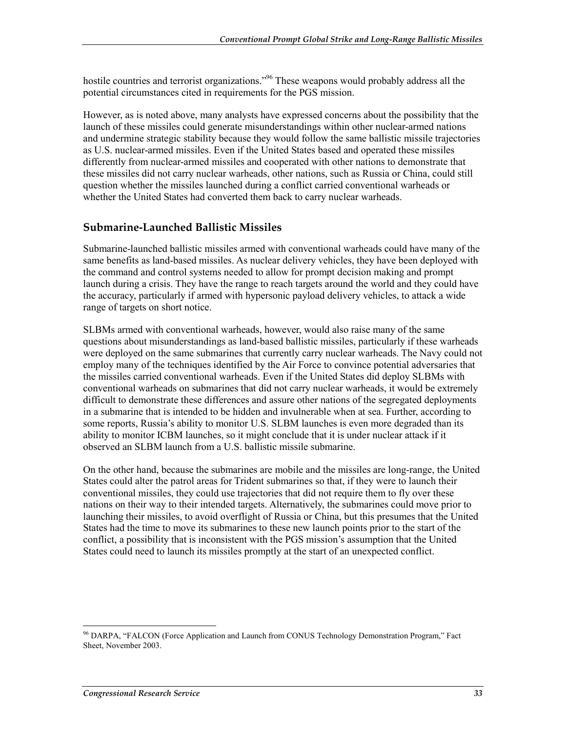hostile countries and terrorist organizations.<sup>996</sup> These weapons would probably address all the potential circumstances cited in requirements for the PGS mission.

However, as is noted above, many analysts have expressed concerns about the possibility that the launch of these missiles could generate misunderstandings within other nuclear-armed nations and undermine strategic stability because they would follow the same ballistic missile trajectories as U.S. nuclear-armed missiles. Even if the United States based and operated these missiles differently from nuclear-armed missiles and cooperated with other nations to demonstrate that these missiles did not carry nuclear warheads, other nations, such as Russia or China, could still question whether the missiles launched during a conflict carried conventional warheads or whether the United States had converted them back to carry nuclear warheads.

#### **Submarine-Launched Ballistic Missiles**

Submarine-launched ballistic missiles armed with conventional warheads could have many of the same benefits as land-based missiles. As nuclear delivery vehicles, they have been deployed with the command and control systems needed to allow for prompt decision making and prompt launch during a crisis. They have the range to reach targets around the world and they could have the accuracy, particularly if armed with hypersonic payload delivery vehicles, to attack a wide range of targets on short notice.

SLBMs armed with conventional warheads, however, would also raise many of the same questions about misunderstandings as land-based ballistic missiles, particularly if these warheads were deployed on the same submarines that currently carry nuclear warheads. The Navy could not employ many of the techniques identified by the Air Force to convince potential adversaries that the missiles carried conventional warheads. Even if the United States did deploy SLBMs with conventional warheads on submarines that did not carry nuclear warheads, it would be extremely difficult to demonstrate these differences and assure other nations of the segregated deployments in a submarine that is intended to be hidden and invulnerable when at sea. Further, according to some reports, Russia's ability to monitor U.S. SLBM launches is even more degraded than its ability to monitor ICBM launches, so it might conclude that it is under nuclear attack if it observed an SLBM launch from a U.S. ballistic missile submarine.

On the other hand, because the submarines are mobile and the missiles are long-range, the United States could alter the patrol areas for Trident submarines so that, if they were to launch their conventional missiles, they could use trajectories that did not require them to fly over these nations on their way to their intended targets. Alternatively, the submarines could move prior to launching their missiles, to avoid overflight of Russia or China, but this presumes that the United States had the time to move its submarines to these new launch points prior to the start of the conflict, a possibility that is inconsistent with the PGS mission's assumption that the United States could need to launch its missiles promptly at the start of an unexpected conflict.

<sup>&</sup>lt;sup>96</sup> DARPA, "FALCON (Force Application and Launch from CONUS Technology Demonstration Program," Fact Sheet, November 2003.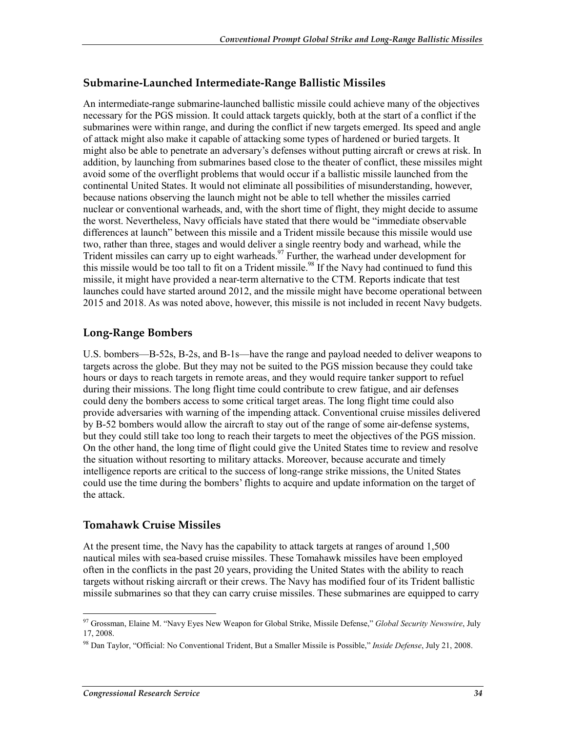#### **Submarine-Launched Intermediate-Range Ballistic Missiles**

An intermediate-range submarine-launched ballistic missile could achieve many of the objectives necessary for the PGS mission. It could attack targets quickly, both at the start of a conflict if the submarines were within range, and during the conflict if new targets emerged. Its speed and angle of attack might also make it capable of attacking some types of hardened or buried targets. It might also be able to penetrate an adversary's defenses without putting aircraft or crews at risk. In addition, by launching from submarines based close to the theater of conflict, these missiles might avoid some of the overflight problems that would occur if a ballistic missile launched from the continental United States. It would not eliminate all possibilities of misunderstanding, however, because nations observing the launch might not be able to tell whether the missiles carried nuclear or conventional warheads, and, with the short time of flight, they might decide to assume the worst. Nevertheless, Navy officials have stated that there would be "immediate observable differences at launch" between this missile and a Trident missile because this missile would use two, rather than three, stages and would deliver a single reentry body and warhead, while the Trident missiles can carry up to eight warheads.<sup>97</sup> Further, the warhead under development for this missile would be too tall to fit on a Trident missile.<sup>98</sup> If the Navy had continued to fund this missile, it might have provided a near-term alternative to the CTM. Reports indicate that test launches could have started around 2012, and the missile might have become operational between 2015 and 2018. As was noted above, however, this missile is not included in recent Navy budgets.

#### **Long-Range Bombers**

U.S. bombers—B-52s, B-2s, and B-1s—have the range and payload needed to deliver weapons to targets across the globe. But they may not be suited to the PGS mission because they could take hours or days to reach targets in remote areas, and they would require tanker support to refuel during their missions. The long flight time could contribute to crew fatigue, and air defenses could deny the bombers access to some critical target areas. The long flight time could also provide adversaries with warning of the impending attack. Conventional cruise missiles delivered by B-52 bombers would allow the aircraft to stay out of the range of some air-defense systems, but they could still take too long to reach their targets to meet the objectives of the PGS mission. On the other hand, the long time of flight could give the United States time to review and resolve the situation without resorting to military attacks. Moreover, because accurate and timely intelligence reports are critical to the success of long-range strike missions, the United States could use the time during the bombers' flights to acquire and update information on the target of the attack.

#### **Tomahawk Cruise Missiles**

At the present time, the Navy has the capability to attack targets at ranges of around 1,500 nautical miles with sea-based cruise missiles. These Tomahawk missiles have been employed often in the conflicts in the past 20 years, providing the United States with the ability to reach targets without risking aircraft or their crews. The Navy has modified four of its Trident ballistic missile submarines so that they can carry cruise missiles. These submarines are equipped to carry

<sup>97</sup> Grossman, Elaine M. "Navy Eyes New Weapon for Global Strike, Missile Defense," *Global Security Newswire*, July 17, 2008.

<sup>98</sup> Dan Taylor, "Official: No Conventional Trident, But a Smaller Missile is Possible," *Inside Defense*, July 21, 2008.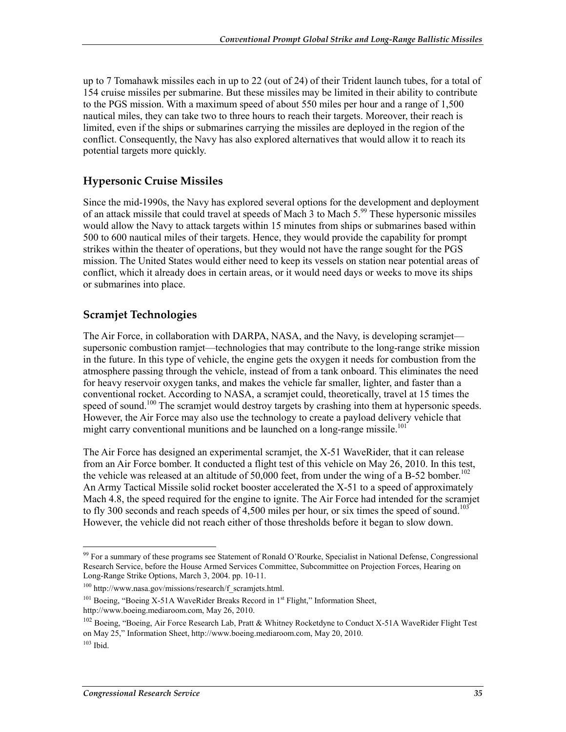up to 7 Tomahawk missiles each in up to 22 (out of 24) of their Trident launch tubes, for a total of 154 cruise missiles per submarine. But these missiles may be limited in their ability to contribute to the PGS mission. With a maximum speed of about 550 miles per hour and a range of 1,500 nautical miles, they can take two to three hours to reach their targets. Moreover, their reach is limited, even if the ships or submarines carrying the missiles are deployed in the region of the conflict. Consequently, the Navy has also explored alternatives that would allow it to reach its potential targets more quickly.

#### **Hypersonic Cruise Missiles**

Since the mid-1990s, the Navy has explored several options for the development and deployment of an attack missile that could travel at speeds of Mach 3 to Mach 5.<sup>99</sup> These hypersonic missiles would allow the Navy to attack targets within 15 minutes from ships or submarines based within 500 to 600 nautical miles of their targets. Hence, they would provide the capability for prompt strikes within the theater of operations, but they would not have the range sought for the PGS mission. The United States would either need to keep its vessels on station near potential areas of conflict, which it already does in certain areas, or it would need days or weeks to move its ships or submarines into place.

#### **Scramjet Technologies**

The Air Force, in collaboration with DARPA, NASA, and the Navy, is developing scramjet supersonic combustion ramjet—technologies that may contribute to the long-range strike mission in the future. In this type of vehicle, the engine gets the oxygen it needs for combustion from the atmosphere passing through the vehicle, instead of from a tank onboard. This eliminates the need for heavy reservoir oxygen tanks, and makes the vehicle far smaller, lighter, and faster than a conventional rocket. According to NASA, a scramjet could, theoretically, travel at 15 times the speed of sound.<sup>100</sup> The scramjet would destroy targets by crashing into them at hypersonic speeds. However, the Air Force may also use the technology to create a payload delivery vehicle that might carry conventional munitions and be launched on a long-range missile.<sup>101</sup>

The Air Force has designed an experimental scramjet, the X-51 WaveRider, that it can release from an Air Force bomber. It conducted a flight test of this vehicle on May 26, 2010. In this test, the vehicle was released at an altitude of 50,000 feet, from under the wing of a B-52 bomber.<sup>102</sup> An Army Tactical Missile solid rocket booster accelerated the X-51 to a speed of approximately Mach 4.8, the speed required for the engine to ignite. The Air Force had intended for the scramjet to fly 300 seconds and reach speeds of 4,500 miles per hour, or six times the speed of sound.<sup>103</sup> However, the vehicle did not reach either of those thresholds before it began to slow down.

<u>.</u>

<sup>&</sup>lt;sup>99</sup> For a summary of these programs see Statement of Ronald O'Rourke, Specialist in National Defense, Congressional Research Service, before the House Armed Services Committee, Subcommittee on Projection Forces, Hearing on Long-Range Strike Options, March 3, 2004. pp. 10-11.

 $100$  http://www.nasa.gov/missions/research/f scramjets.html.

<sup>&</sup>lt;sup>101</sup> Boeing, "Boeing X-51A WaveRider Breaks Record in 1<sup>st</sup> Flight," Information Sheet, http://www.boeing.mediaroom.com, May 26, 2010.

<sup>&</sup>lt;sup>102</sup> Boeing, "Boeing, Air Force Research Lab, Pratt & Whitney Rocketdyne to Conduct X-51A WaveRider Flight Test on May 25," Information Sheet, http://www.boeing.mediaroom.com, May 20, 2010.  $103$  Ibid.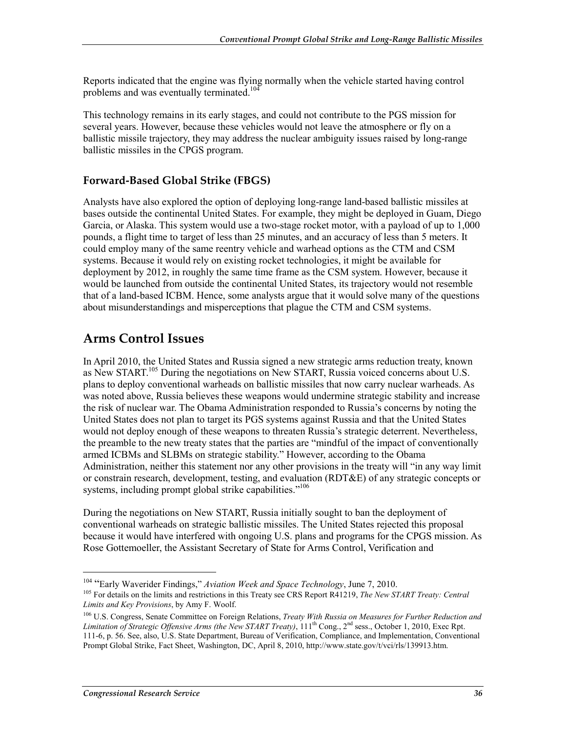Reports indicated that the engine was flying normally when the vehicle started having control problems and was eventually terminated.<sup>104</sup>

This technology remains in its early stages, and could not contribute to the PGS mission for several years. However, because these vehicles would not leave the atmosphere or fly on a ballistic missile trajectory, they may address the nuclear ambiguity issues raised by long-range ballistic missiles in the CPGS program.

#### **Forward-Based Global Strike (FBGS)**

Analysts have also explored the option of deploying long-range land-based ballistic missiles at bases outside the continental United States. For example, they might be deployed in Guam, Diego Garcia, or Alaska. This system would use a two-stage rocket motor, with a payload of up to 1,000 pounds, a flight time to target of less than 25 minutes, and an accuracy of less than 5 meters. It could employ many of the same reentry vehicle and warhead options as the CTM and CSM systems. Because it would rely on existing rocket technologies, it might be available for deployment by 2012, in roughly the same time frame as the CSM system. However, because it would be launched from outside the continental United States, its trajectory would not resemble that of a land-based ICBM. Hence, some analysts argue that it would solve many of the questions about misunderstandings and misperceptions that plague the CTM and CSM systems.

### **Arms Control Issues**

In April 2010, the United States and Russia signed a new strategic arms reduction treaty, known as New START.<sup>105</sup> During the negotiations on New START, Russia voiced concerns about U.S. plans to deploy conventional warheads on ballistic missiles that now carry nuclear warheads. As was noted above, Russia believes these weapons would undermine strategic stability and increase the risk of nuclear war. The Obama Administration responded to Russia's concerns by noting the United States does not plan to target its PGS systems against Russia and that the United States would not deploy enough of these weapons to threaten Russia's strategic deterrent. Nevertheless, the preamble to the new treaty states that the parties are "mindful of the impact of conventionally armed ICBMs and SLBMs on strategic stability." However, according to the Obama Administration, neither this statement nor any other provisions in the treaty will "in any way limit or constrain research, development, testing, and evaluation (RDT&E) of any strategic concepts or systems, including prompt global strike capabilities."<sup>106</sup>

During the negotiations on New START, Russia initially sought to ban the deployment of conventional warheads on strategic ballistic missiles. The United States rejected this proposal because it would have interfered with ongoing U.S. plans and programs for the CPGS mission. As Rose Gottemoeller, the Assistant Secretary of State for Arms Control, Verification and

<u>.</u>

<sup>&</sup>lt;sup>104</sup> "Early Waverider Findings," *Aviation Week and Space Technology*, June 7, 2010.<br><sup>105</sup> For details on the limits and restrictions in this Treaty see CRS Report R41219, *The New START Treaty: Central Limits and Key Provisions*, by Amy F. Woolf.

<sup>106</sup> U.S. Congress, Senate Committee on Foreign Relations, *Treaty With Russia on Measures for Further Reduction and Limitation of Strategic Offensive Arms (the New START Treaty)*, 111th Cong., 2nd sess., October 1, 2010, Exec Rpt. 111-6, p. 56. See, also, U.S. State Department, Bureau of Verification, Compliance, and Implementation, Conventional Prompt Global Strike, Fact Sheet, Washington, DC, April 8, 2010, http://www.state.gov/t/vci/rls/139913.htm.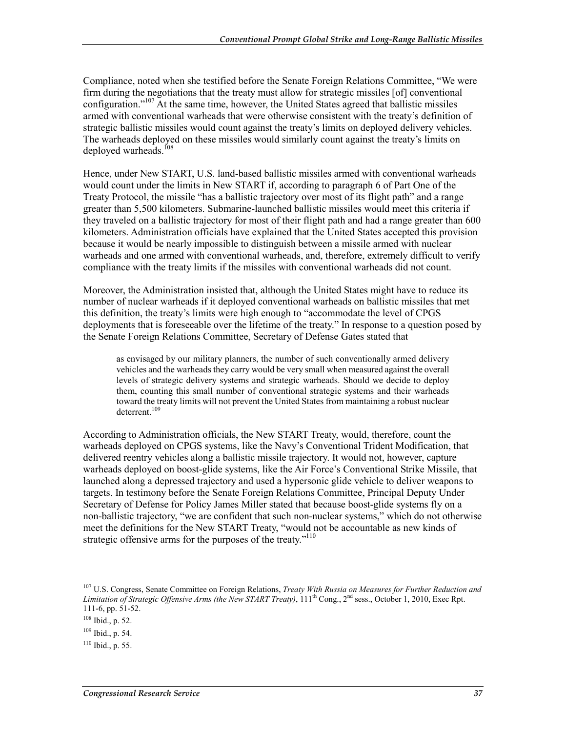Compliance, noted when she testified before the Senate Foreign Relations Committee, "We were firm during the negotiations that the treaty must allow for strategic missiles [of] conventional configuration."107 At the same time, however, the United States agreed that ballistic missiles armed with conventional warheads that were otherwise consistent with the treaty's definition of strategic ballistic missiles would count against the treaty's limits on deployed delivery vehicles. The warheads deployed on these missiles would similarly count against the treaty's limits on deployed warheads.<sup>108</sup>

Hence, under New START, U.S. land-based ballistic missiles armed with conventional warheads would count under the limits in New START if, according to paragraph 6 of Part One of the Treaty Protocol, the missile "has a ballistic trajectory over most of its flight path" and a range greater than 5,500 kilometers. Submarine-launched ballistic missiles would meet this criteria if they traveled on a ballistic trajectory for most of their flight path and had a range greater than 600 kilometers. Administration officials have explained that the United States accepted this provision because it would be nearly impossible to distinguish between a missile armed with nuclear warheads and one armed with conventional warheads, and, therefore, extremely difficult to verify compliance with the treaty limits if the missiles with conventional warheads did not count.

Moreover, the Administration insisted that, although the United States might have to reduce its number of nuclear warheads if it deployed conventional warheads on ballistic missiles that met this definition, the treaty's limits were high enough to "accommodate the level of CPGS deployments that is foreseeable over the lifetime of the treaty." In response to a question posed by the Senate Foreign Relations Committee, Secretary of Defense Gates stated that

as envisaged by our military planners, the number of such conventionally armed delivery vehicles and the warheads they carry would be very small when measured against the overall levels of strategic delivery systems and strategic warheads. Should we decide to deploy them, counting this small number of conventional strategic systems and their warheads toward the treaty limits will not prevent the United States from maintaining a robust nuclear deterrent.<sup>109</sup>

According to Administration officials, the New START Treaty, would, therefore, count the warheads deployed on CPGS systems, like the Navy's Conventional Trident Modification, that delivered reentry vehicles along a ballistic missile trajectory. It would not, however, capture warheads deployed on boost-glide systems, like the Air Force's Conventional Strike Missile, that launched along a depressed trajectory and used a hypersonic glide vehicle to deliver weapons to targets. In testimony before the Senate Foreign Relations Committee, Principal Deputy Under Secretary of Defense for Policy James Miller stated that because boost-glide systems fly on a non-ballistic trajectory, "we are confident that such non-nuclear systems," which do not otherwise meet the definitions for the New START Treaty, "would not be accountable as new kinds of strategic offensive arms for the purposes of the treaty."<sup>110</sup>

<sup>107</sup> U.S. Congress, Senate Committee on Foreign Relations, *Treaty With Russia on Measures for Further Reduction and Limitation of Strategic Offensive Arms (the New START Treaty)*, 111th Cong., 2nd sess., October 1, 2010, Exec Rpt. 111-6, pp. 51-52.

<sup>108</sup> Ibid., p. 52.

<sup>109</sup> Ibid., p. 54.

 $110$  Ibid., p. 55.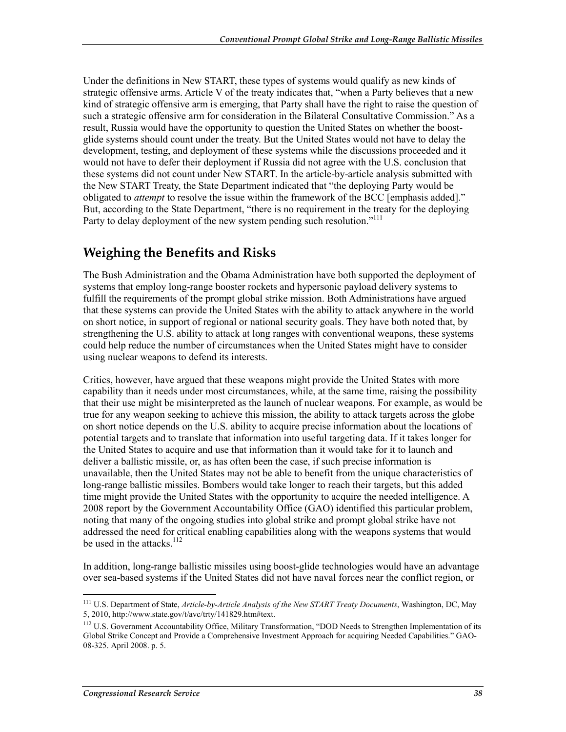Under the definitions in New START, these types of systems would qualify as new kinds of strategic offensive arms. Article V of the treaty indicates that, "when a Party believes that a new kind of strategic offensive arm is emerging, that Party shall have the right to raise the question of such a strategic offensive arm for consideration in the Bilateral Consultative Commission." As a result, Russia would have the opportunity to question the United States on whether the boostglide systems should count under the treaty. But the United States would not have to delay the development, testing, and deployment of these systems while the discussions proceeded and it would not have to defer their deployment if Russia did not agree with the U.S. conclusion that these systems did not count under New START. In the article-by-article analysis submitted with the New START Treaty, the State Department indicated that "the deploying Party would be obligated to *attempt* to resolve the issue within the framework of the BCC [emphasis added]." But, according to the State Department, "there is no requirement in the treaty for the deploying Party to delay deployment of the new system pending such resolution."<sup>111</sup>

## **Weighing the Benefits and Risks**

The Bush Administration and the Obama Administration have both supported the deployment of systems that employ long-range booster rockets and hypersonic payload delivery systems to fulfill the requirements of the prompt global strike mission. Both Administrations have argued that these systems can provide the United States with the ability to attack anywhere in the world on short notice, in support of regional or national security goals. They have both noted that, by strengthening the U.S. ability to attack at long ranges with conventional weapons, these systems could help reduce the number of circumstances when the United States might have to consider using nuclear weapons to defend its interests.

Critics, however, have argued that these weapons might provide the United States with more capability than it needs under most circumstances, while, at the same time, raising the possibility that their use might be misinterpreted as the launch of nuclear weapons. For example, as would be true for any weapon seeking to achieve this mission, the ability to attack targets across the globe on short notice depends on the U.S. ability to acquire precise information about the locations of potential targets and to translate that information into useful targeting data. If it takes longer for the United States to acquire and use that information than it would take for it to launch and deliver a ballistic missile, or, as has often been the case, if such precise information is unavailable, then the United States may not be able to benefit from the unique characteristics of long-range ballistic missiles. Bombers would take longer to reach their targets, but this added time might provide the United States with the opportunity to acquire the needed intelligence. A 2008 report by the Government Accountability Office (GAO) identified this particular problem, noting that many of the ongoing studies into global strike and prompt global strike have not addressed the need for critical enabling capabilities along with the weapons systems that would be used in the attacks.<sup>112</sup>

In addition, long-range ballistic missiles using boost-glide technologies would have an advantage over sea-based systems if the United States did not have naval forces near the conflict region, or

<sup>1</sup> 111 U.S. Department of State, *Article-by-Article Analysis of the New START Treaty Documents*, Washington, DC, May 5, 2010, http://www.state.gov/t/avc/trty/141829.htm#text.

<sup>&</sup>lt;sup>112</sup> U.S. Government Accountability Office, Military Transformation, "DOD Needs to Strengthen Implementation of its Global Strike Concept and Provide a Comprehensive Investment Approach for acquiring Needed Capabilities." GAO-08-325. April 2008. p. 5.